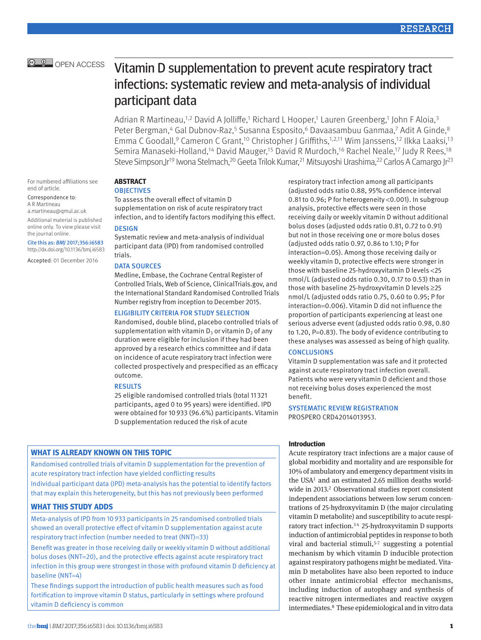# **E. OPEN ACCESS** Vitamin D supplementation to prevent acute respiratory tract infections: systematic review and meta-analysis of individual participant data

Adrian R Martineau,<sup>1,2</sup> David A Jolliffe,<sup>1</sup> Richard L Hooper,<sup>1</sup> Lauren Greenberg,<sup>1</sup> John F Aloia,<sup>3</sup> Peter Bergman,<sup>4</sup> Gal Dubnov-Raz,<sup>5</sup> Susanna Esposito,<sup>6</sup> Davaasambuu Ganmaa,7 Adit A Ginde,<sup>8</sup> Emma C Goodall,<sup>9</sup> Cameron C Grant,<sup>10</sup> Christopher J Griffiths,<sup>1,2,11</sup> Wim Janssens,<sup>12</sup> Ilkka Laaksi,<sup>13</sup> Semira Manaseki-Holland,14 David Mauger,15 David R Murdoch,16 Rachel Neale,17 Judy R Rees,18 Steve Simpson,Jr<sup>19</sup> Iwona Stelmach,<sup>20</sup> Geeta Trilok Kumar,<sup>21</sup> Mitsuyoshi Urashima,<sup>22</sup> Carlos A Camargo Jr<sup>23</sup>

For numbered affiliations see end of article.

Correspondence to: A R Martineau a.martineau@qmul.ac.uk Additional material is published

online only. To view please visit the journal online.

Cite this as: *BMJ* 2017;356:i6583 http://dx.doi.org/10.1136/bmj.i6583

Accepted: 01 December 2016

# **ABSTRACT**

**OBJECTIVES** 

To assess the overall effect of vitamin D supplementation on risk of acute respiratory tract infection, and to identify factors modifying this effect. **DESIGN** 

Systematic review and meta-analysis of individual participant data (IPD) from randomised controlled trials.

# DATA SOURCES

Medline, Embase, the Cochrane Central Register of Controlled Trials, Web of Science, ClinicalTrials.gov, and the International Standard Randomised Controlled Trials Number registry from inception to December 2015.

# Eligibility criteria for study selection

Randomised, double blind, placebo controlled trials of supplementation with vitamin  $D_3$  or vitamin  $D_2$  of any duration were eligible for inclusion if they had been approved by a research ethics committee and if data on incidence of acute respiratory tract infection were collected prospectively and prespecified as an efficacy outcome.

#### **RESULTS**

25 eligible randomised controlled trials (total 11321 participants, aged 0 to 95 years) were identified. IPD were obtained for 10933 (96.6%) participants. Vitamin D supplementation reduced the risk of acute

# **What is already known on this topic**

Randomised controlled trials of vitamin D supplementation for the prevention of acute respiratory tract infection have yielded conflicting results

Individual participant data (IPD) meta-analysis has the potential to identify factors that may explain this heterogeneity, but this has not previously been performed

# **What this study adds**

Meta-analysis of IPD from 10933 participants in 25 randomised controlled trials showed an overall protective effect of vitamin D supplementation against acute respiratory tract infection (number needed to treat (NNT)=33)

Benefit was greater in those receiving daily or weekly vitamin D without additional bolus doses (NNT=20), and the protective effects against acute respiratory tract infection in this group were strongest in those with profound vitamin D deficiency at baseline (NNT=4)

These findings support the introduction of public health measures such as food fortification to improve vitamin D status, particularly in settings where profound vitamin D deficiency is common

respiratory tract infection among all participants (adjusted odds ratio 0.88, 95% confidence interval 0.81 to 0.96; P for heterogeneity <0.001). In subgroup analysis, protective effects were seen in those receiving daily or weekly vitamin D without additional bolus doses (adjusted odds ratio 0.81, 0.72 to 0.91) but not in those receiving one or more bolus doses (adjusted odds ratio 0.97, 0.86 to 1.10; P for interaction=0.05). Among those receiving daily or weekly vitamin D, protective effects were stronger in those with baseline 25-hydroxyvitamin D levels <25 nmol/L (adjusted odds ratio 0.30, 0.17 to 0.53) than in those with baseline 25-hydroxyvitamin D levels ≥25 nmol/L (adjusted odds ratio 0.75, 0.60 to 0.95; P for interaction=0.006). Vitamin D did not influence the proportion of participants experiencing at least one serious adverse event (adjusted odds ratio 0.98, 0.80 to 1.20, P=0.83). The body of evidence contributing to these analyses was assessed as being of high quality.

### **CONCLUSIONS**

Vitamin D supplementation was safe and it protected against acute respiratory tract infection overall. Patients who were very vitamin D deficient and those not receiving bolus doses experienced the most benefit.

Systematic review registration PROSPERO CRD42014013953.

# **Introduction**

Acute respiratory tract infections are a major cause of global morbidity and mortality and are responsible for 10% of ambulatory and emergency department visits in the USA<sup>1</sup> and an estimated 2.65 million deaths worldwide in 2013.<sup>2</sup> Observational studies report consistent independent associations between low serum concentrations of 25-hydroxyvitamin D (the major circulating vitamin D metabolite) and susceptibility to acute respiratory tract infection.3 4 25-hydroxyvitamin D supports induction of antimicrobial peptides in response to both viral and bacterial stimuli, $5-7$  suggesting a potential mechanism by which vitamin D inducible protection against respiratory pathogens might be mediated. Vitamin D metabolites have also been reported to induce other innate antimicrobial effector mechanisms, including induction of autophagy and synthesis of reactive nitrogen intermediates and reactive oxygen intermediates.8 These epidemiological and in vitro data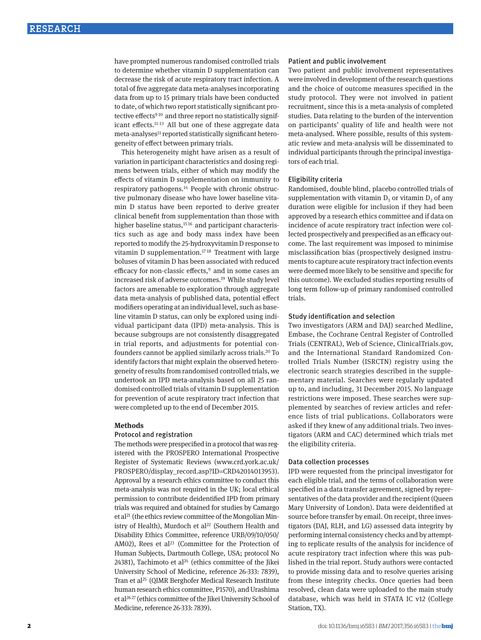have prompted numerous randomised controlled trials to determine whether vitamin D supplementation can decrease the risk of acute respiratory tract infection. A total of five aggregate data meta-analyses incorporating data from up to 15 primary trials have been conducted to date, of which two report statistically significant protective effects<sup>910</sup> and three report no statistically significant effects.11-13 All but one of these aggregate data  $meta$ -analyses<sup>11</sup> reported statistically significant heterogeneity of effect between primary trials.

This heterogeneity might have arisen as a result of variation in participant characteristics and dosing regimens between trials, either of which may modify the effects of vitamin D supplementation on immunity to respiratory pathogens.14 People with chronic obstructive pulmonary disease who have lower baseline vitamin D status have been reported to derive greater clinical benefit from supplementation than those with higher baseline status,<sup>1516</sup> and participant characteristics such as age and body mass index have been reported to modify the 25-hydroxyvitamin D response to vitamin D supplementation.<sup>1718</sup> Treatment with large boluses of vitamin D has been associated with reduced efficacy for non-classic effects,<sup>9</sup> and in some cases an increased risk of adverse outcomes.19 While study level factors are amenable to exploration through aggregate data meta-analysis of published data, potential effect modifiers operating at an individual level, such as baseline vitamin D status, can only be explored using individual participant data (IPD) meta-analysis. This is because subgroups are not consistently disaggregated in trial reports, and adjustments for potential confounders cannot be applied similarly across trials.20 To identify factors that might explain the observed heterogeneity of results from randomised controlled trials, we undertook an IPD meta-analysis based on all 25 randomised controlled trials of vitamin D supplementation for prevention of acute respiratory tract infection that were completed up to the end of December 2015.

#### **Methods**

#### Protocol and registration

The methods were prespecified in a protocol that was registered with the PROSPERO International Prospective Register of Systematic Reviews (www.crd.york.ac.uk/ PROSPERO/display\_record.asp?ID=CRD42014013953). Approval by a research ethics committee to conduct this meta-analysis was not required in the UK; local ethical permission to contribute deidentified IPD from primary trials was required and obtained for studies by Camargo et al21 (the ethics review committee of the Mongolian Ministry of Health), Murdoch et al<sup>22</sup> (Southern Health and Disability Ethics Committee, reference URB/09/10/050/ AM02), Rees et al<sup>23</sup> (Committee for the Protection of Human Subjects, Dartmouth College, USA; protocol No 24381), Tachimoto et al $24$  (ethics committee of the Jikei University School of Medicine, reference 26-333: 7839), Tran et al<sup>25</sup> (QIMR Berghofer Medical Research Institute human research ethics committee, P1570), and Urashima et al26 27 (ethics committee of the Jikei University School of Medicine, reference 26-333: 7839).

#### Patient and public involvement

Two patient and public involvement representatives were involved in development of the research questions and the choice of outcome measures specified in the study protocol. They were not involved in patient recruitment, since this is a meta-analysis of completed studies. Data relating to the burden of the intervention on participants' quality of life and health were not meta-analysed. Where possible, results of this systematic review and meta-analysis will be disseminated to individual participants through the principal investigators of each trial.

#### Eligibility criteria

Randomised, double blind, placebo controlled trials of supplementation with vitamin  $D_3$  or vitamin  $D_2$  of any duration were eligible for inclusion if they had been approved by a research ethics committee and if data on incidence of acute respiratory tract infection were collected prospectively and prespecified as an efficacy outcome. The last requirement was imposed to minimise misclassification bias (prospectively designed instruments to capture acute respiratory tract infection events were deemed more likely to be sensitive and specific for this outcome). We excluded studies reporting results of long term follow-up of primary randomised controlled trials.

#### Study identification and selection

Two investigators (ARM and DAJ) searched Medline, Embase, the Cochrane Central Register of Controlled Trials (CENTRAL), Web of Science, ClinicalTrials.gov, and the International Standard Randomized Controlled Trials Number (ISRCTN) registry using the electronic search strategies described in the supplementary material. Searches were regularly updated up to, and including, 31 December 2015. No language restrictions were imposed. These searches were supplemented by searches of review articles and reference lists of trial publications. Collaborators were asked if they knew of any additional trials. Two investigators (ARM and CAC) determined which trials met the eligibility criteria.

#### Data collection processes

IPD were requested from the principal investigator for each eligible trial, and the terms of collaboration were specified in a data transfer agreement, signed by representatives of the data provider and the recipient (Queen Mary University of London). Data were deidentified at source before transfer by email. On receipt, three investigators (DAJ, RLH, and LG) assessed data integrity by performing internal consistency checks and by attempting to replicate results of the analysis for incidence of acute respiratory tract infection where this was published in the trial report. Study authors were contacted to provide missing data and to resolve queries arising from these integrity checks. Once queries had been resolved, clean data were uploaded to the main study database, which was held in STATA IC v12 (College Station, TX).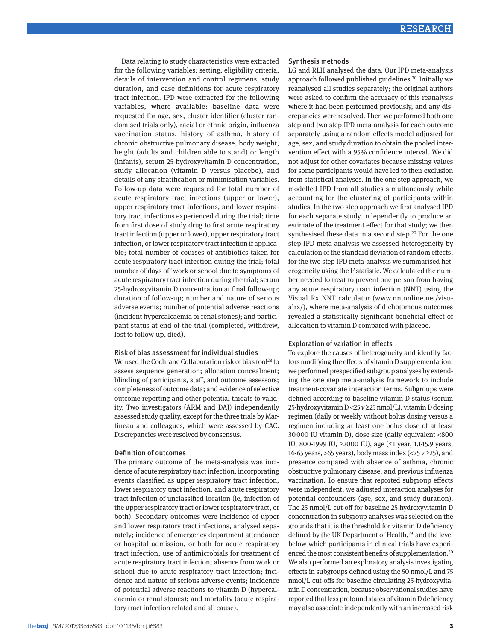Data relating to study characteristics were extracted for the following variables: setting, eligibility criteria, details of intervention and control regimens, study duration, and case definitions for acute respiratory tract infection. IPD were extracted for the following variables, where available: baseline data were requested for age, sex, cluster identifier (cluster randomised trials only), racial or ethnic origin, influenza vaccination status, history of asthma, history of chronic obstructive pulmonary disease, body weight, height (adults and children able to stand) or length (infants), serum 25-hydroxyvitamin D concentration, study allocation (vitamin D versus placebo), and details of any stratification or minimisation variables. Follow-up data were requested for total number of acute respiratory tract infections (upper or lower), upper respiratory tract infections, and lower respiratory tract infections experienced during the trial; time from first dose of study drug to first acute respiratory tract infection (upper or lower), upper respiratory tract infection, or lower respiratory tract infection if applicable; total number of courses of antibiotics taken for acute respiratory tract infection during the trial; total number of days off work or school due to symptoms of acute respiratory tract infection during the trial; serum 25-hydroxyvitamin D concentration at final follow-up; duration of follow-up; number and nature of serious adverse events; number of potential adverse reactions (incident hypercalcaemia or renal stones); and participant status at end of the trial (completed, withdrew, lost to follow-up, died).

#### Risk of bias assessment for individual studies

We used the Cochrane Collaboration risk of bias tool28 to assess sequence generation; allocation concealment; blinding of participants, staff, and outcome assessors; completeness of outcome data; and evidence of selective outcome reporting and other potential threats to validity. Two investigators (ARM and DAJ) independently assessed study quality, except for the three trials by Martineau and colleagues, which were assessed by CAC. Discrepancies were resolved by consensus.

### Definition of outcomes

The primary outcome of the meta-analysis was incidence of acute respiratory tract infection, incorporating events classified as upper respiratory tract infection, lower respiratory tract infection, and acute respiratory tract infection of unclassified location (ie, infection of the upper respiratory tract or lower respiratory tract, or both). Secondary outcomes were incidence of upper and lower respiratory tract infections, analysed separately; incidence of emergency department attendance or hospital admission, or both for acute respiratory tract infection; use of antimicrobials for treatment of acute respiratory tract infection; absence from work or school due to acute respiratory tract infection; incidence and nature of serious adverse events; incidence of potential adverse reactions to vitamin D (hypercalcaemia or renal stones); and mortality (acute respiratory tract infection related and all cause).

#### Synthesis methods

LG and RLH analysed the data. Our IPD meta-analysis approach followed published guidelines.<sup>20</sup> Initially we reanalysed all studies separately; the original authors were asked to confirm the accuracy of this reanalysis where it had been performed previously, and any discrepancies were resolved. Then we performed both one step and two step IPD meta-analysis for each outcome separately using a random effects model adjusted for age, sex, and study duration to obtain the pooled intervention effect with a 95% confidence interval. We did not adjust for other covariates because missing values for some participants would have led to their exclusion from statistical analyses. In the one step approach, we modelled IPD from all studies simultaneously while accounting for the clustering of participants within studies. In the two step approach we first analysed IPD for each separate study independently to produce an estimate of the treatment effect for that study; we then synthesised these data in a second step.<sup>20</sup> For the one step IPD meta-analysis we assessed heterogeneity by calculation of the standard deviation of random effects; for the two step IPD meta-analysis we summarised heterogeneity using the  $I^2$  statistic. We calculated the number needed to treat to prevent one person from having any acute respiratory tract infection (NNT) using the Visual Rx NNT calculator (www.nntonline.net/visualrx/), where meta-analysis of dichotomous outcomes revealed a statistically significant beneficial effect of allocation to vitamin D compared with placebo.

### Exploration of variation in effects

To explore the causes of heterogeneity and identify factors modifying the effects of vitamin D supplementation, we performed prespecified subgroup analyses by extending the one step meta-analysis framework to include treatment-covariate interaction terms. Subgroups were defined according to baseline vitamin D status (serum 25-hydroxyvitamin D <25 *v* ≥25 nmol/L), vitamin D dosing regimen (daily or weekly without bolus dosing versus a regimen including at least one bolus dose of at least 30000 IU vitamin D), dose size (daily equivalent <800 IU, 800-1999 IU, ≥2000 IU), age (≤1 year, 1.1-15.9 years, 16-65 years, >65 years), body mass index (<25 *v* ≥25), and presence compared with absence of asthma, chronic obstructive pulmonary disease, and previous influenza vaccination. To ensure that reported subgroup effects were independent, we adjusted interaction analyses for potential confounders (age, sex, and study duration). The 25 nmol/L cut-off for baseline 25-hydroxyvitamin D concentration in subgroup analyses was selected on the grounds that it is the threshold for vitamin D deficiency defined by the UK Department of Health,<sup>29</sup> and the level below which participants in clinical trials have experienced the most consistent benefits of supplementation.<sup>30</sup> We also performed an exploratory analysis investigating effects in subgroups defined using the 50 nmol/L and 75 nmol/L cut-offs for baseline circulating 25-hydroxyvitamin D concentration, because observational studies have reported that less profound states of vitamin D deficiency may also associate independently with an increased risk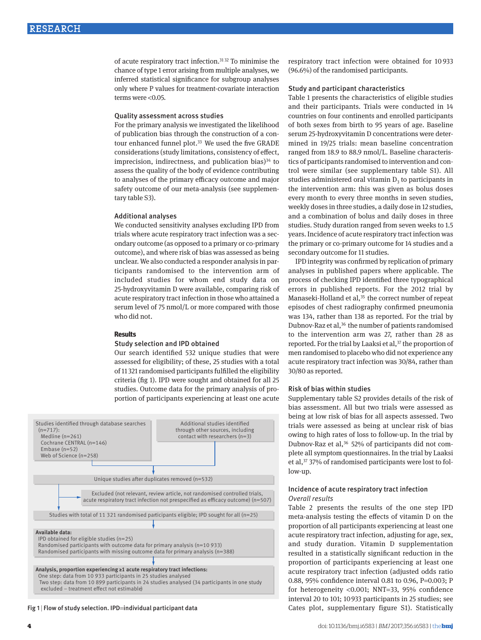of acute respiratory tract infection.31 32 To minimise the chance of type 1 error arising from multiple analyses, we inferred statistical significance for subgroup analyses only where P values for treatment-covariate interaction terms were <0.05.

#### Quality assessment across studies

For the primary analysis we investigated the likelihood of publication bias through the construction of a contour enhanced funnel plot.<sup>33</sup> We used the five GRADE considerations (study limitations, consistency of effect, imprecision, indirectness, and publication bias) $34$  to assess the quality of the body of evidence contributing to analyses of the primary efficacy outcome and major safety outcome of our meta-analysis (see supplementary table S3).

#### Additional analyses

We conducted sensitivity analyses excluding IPD from trials where acute respiratory tract infection was a secondary outcome (as opposed to a primary or co-primary outcome), and where risk of bias was assessed as being unclear. We also conducted a responder analysis in participants randomised to the intervention arm of included studies for whom end study data on 25-hydroxyvitamin D were available, comparing risk of acute respiratory tract infection in those who attained a serum level of 75 nmol/L or more compared with those who did not.

#### **Results**

#### Study selection and IPD obtained

Our search identified 532 unique studies that were assessed for eligibility; of these, 25 studies with a total of 11 321 randomised participants fulfilled the eligibility criteria (fig 1). IPD were sought and obtained for all 25 studies. Outcome data for the primary analysis of proportion of participants experiencing at least one acute



Fig 1 | Flow of study selection. IPD=individual participant data

respiratory tract infection were obtained for 10 933 (96.6%) of the randomised participants.

#### Study and participant characteristics

Table 1 presents the characteristics of eligible studies and their participants. Trials were conducted in 14 countries on four continents and enrolled participants of both sexes from birth to 95 years of age. Baseline serum 25-hydroxyvitamin D concentrations were determined in 19/25 trials: mean baseline concentration ranged from 18.9 to 88.9 nmol/L. Baseline characteristics of participants randomised to intervention and control were similar (see supplementary table S1). All studies administered oral vitamin  $D<sub>3</sub>$  to participants in the intervention arm: this was given as bolus doses every month to every three months in seven studies, weekly doses in three studies, a daily dose in 12 studies, and a combination of bolus and daily doses in three studies. Study duration ranged from seven weeks to 1.5 years. Incidence of acute respiratory tract infection was the primary or co-primary outcome for 14 studies and a secondary outcome for 11 studies.

IPD integrity was confirmed by replication of primary analyses in published papers where applicable. The process of checking IPD identified three typographical errors in published reports. For the 2012 trial by Manaseki-Holland et al,<sup>35</sup> the correct number of repeat episodes of chest radiography confirmed pneumonia was 134, rather than 138 as reported. For the trial by Dubnov-Raz et al,<sup>36</sup> the number of patients randomised to the intervention arm was 27, rather than 28 as reported. For the trial by Laaksi et al,<sup>37</sup> the proportion of men randomised to placebo who did not experience any acute respiratory tract infection was 30/84, rather than 30/80 as reported.

#### Risk of bias within studies

Supplementary table S2 provides details of the risk of bias assessment. All but two trials were assessed as being at low risk of bias for all aspects assessed. Two trials were assessed as being at unclear risk of bias owing to high rates of loss to follow-up. In the trial by Dubnov-Raz et al,<sup>36</sup> 52% of participants did not complete all symptom questionnaires. In the trial by Laaksi et al,<sup>37</sup> 37% of randomised participants were lost to follow-up.

# Incidence of acute respiratory tract infection *Overall results*

Table 2 presents the results of the one step IPD meta-analysis testing the effects of vitamin D on the proportion of all participants experiencing at least one acute respiratory tract infection, adjusting for age, sex, and study duration. Vitamin D supplementation resulted in a statistically significant reduction in the proportion of participants experiencing at least one acute respiratory tract infection (adjusted odds ratio 0.88, 95% confidence interval 0.81 to 0.96, P=0.003; P for heterogeneity <0.001; NNT=33, 95% confidence interval 20 to 101; 10933 participants in 25 studies; see Cates plot, supplementary figure S1). Statistically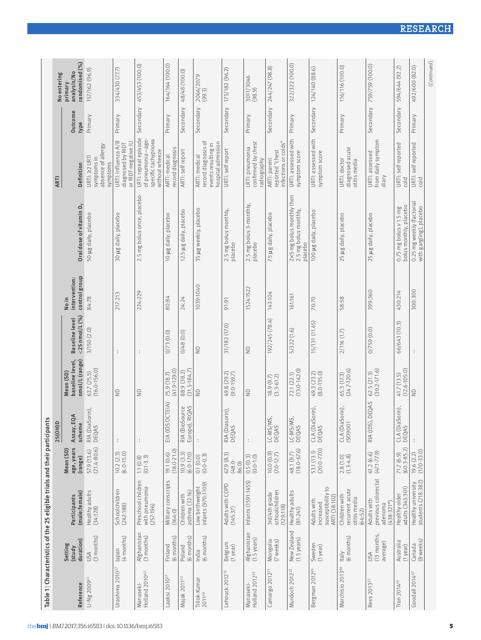|                                                                                                                                                        | Table 1   Characteristics of the 25 eligible trials and their participant |                                    | S                                |                                                |                                        |                                         |                                                               |                                                                                    |                        |                                          |
|--------------------------------------------------------------------------------------------------------------------------------------------------------|---------------------------------------------------------------------------|------------------------------------|----------------------------------|------------------------------------------------|----------------------------------------|-----------------------------------------|---------------------------------------------------------------|------------------------------------------------------------------------------------|------------------------|------------------------------------------|
|                                                                                                                                                        |                                                                           |                                    | 25(OH)D                          |                                                |                                        |                                         |                                                               | <b>ARTI</b>                                                                        |                        | No entering                              |
| (male:female)<br>Participants<br>duration)<br>Setting<br>(study                                                                                        |                                                                           | age, years<br>Mean (SD)<br>(range) | Assay, EQA<br>scheme             | baseline level,<br>nmol/L (range)<br>Mean (SD) | $<$ 25 nmol/L $($ %)<br>Baseline level | control group<br>intervention:<br>No in | Oral dose of vitamin D <sub>3</sub>                           | Definition                                                                         | <b>Outcome</b><br>type | randomised (%)<br>analysis/No<br>primary |
| Healthy adults<br>(34:128)<br>(3 months)<br>USA                                                                                                        |                                                                           | $(21.4 - 80.6)$<br>57.9 (13.6)     | RIA (DiaSorin),<br>DEQAS         | $(16.0 - 156.0)$<br>63.7 (25.5)                | 3/150 (2.0)                            | 84:78                                   | 50 µg daily, placebo                                          | absence of allergy<br>URTI: 22 URTI<br>symptoms in<br>symptoms                     | Primary                | 157/162 (96.9)                           |
| Schoolchildren<br>(242:188)<br>(4 months)<br>Japan                                                                                                     |                                                                           | $10.2(2.3)$<br>$(6.0-15.0)$        |                                  | $\frac{1}{2}$                                  |                                        | 217:213                                 | 30 µg daily, placebo                                          | URTI: influenza A/B<br>or RIDT-negative IL<br>diagnosed by RIDT                    | Primary                | 334/430 (77.7)                           |
| Preschool children<br>with pneumonia<br>(257:196)<br>Afghanistan<br>(3 months)                                                                         |                                                                           | $1.1(0.8)$<br>$(0.1-3.3)$          | ÷                                | $\frac{1}{2}$                                  |                                        | 224:229                                 | 2.5 mg bolus once, placebo                                    | LRTI: repeat episode<br>of pneumonia-age-<br>specific tachypnoea<br>without wheeze | Secondary              | 453/453 (100.0)                          |
| Military conscripts<br>(164:0)<br>$(6$ months)<br>Finland                                                                                              |                                                                           | $(18.0 - 21.0)$<br>19.1(0.6)       | OCTEIA)<br>EIA (IDS              | $(41.9 - 129.0)$<br>75.9 (18.7)                | 0/73(0.0)                              | 80:84                                   | 10 µg daily, placebo                                          | record diagnosis<br>ARTI: medical                                                  | Primary                | 164/164 (100.0)                          |
| asthma (32:16)<br>Children with<br>(6 months)<br>Poland                                                                                                |                                                                           | 10.9(3.3)<br>$(6.0 - 17.0)$        | RIA (BioSource<br>Europe), RIQAS | $(31.5 - 184.7)$<br>88.9 (38.2)                | 0/48(0.0)                              | 24:24                                   | 12.5 µg daily, placebo                                        | ARTI: self report                                                                  | Secondary              | 48/48 (100.0)                            |
| $(0.0 - 0.3)$<br>0.1(0.0)<br>infants (970:1109)<br>Low birthweight<br>(6 months)<br>India                                                              |                                                                           |                                    | $\frac{1}{4}$                    | $\supseteq$                                    | $\frac{1}{2}$                          | 1039:1040                               | 35 µg weekly, placebo                                         | record diagnosis of<br>hospital admission<br>events resulting in<br>ARTI: medical  | Secondary              | 2064/2079<br>(99.3)                      |
| 67.9 (8.3)<br>$(48.0 -$<br>86.0)<br>Adults with COPD<br>(145:37)<br>Belgium<br>(1 year)                                                                |                                                                           |                                    | ;orin),<br>RIA (Diaso<br>DEQAS   | 49.8 (29.2)<br>(9.0-159.7)                     | 31/182 (17.0)                          | 91:91                                   | 2.5 mg bolus monthly,<br>placebo                              | URTI: self report                                                                  | Secondary              | 175/182 (96.2)                           |
| $0.5(0.3)$<br>$(0.0-1.0)$<br>Infants (1591:1455)<br>Afghanistan<br>(1.5 years)                                                                         |                                                                           |                                    |                                  | $\frac{1}{2}$                                  | $\frac{1}{2}$                          | 1524:1522                               | 2.5 mg bolus 3-monthly,<br>placebo                            | confirmed by chest<br>LRTI: pneumonia<br>radiography                               | Primary                | 3011/3046<br>(98.9)                      |
| (2.0100000)<br>schoolchildren<br>3rd/4th grade<br>(129:118)<br>Mongolia<br>(7 weeks)                                                                   |                                                                           |                                    | S<br>LC-MS/M<br>DEQAS            | $(3.3 - 61.2)$<br>18.9(9.7)                    | 192/245 (78.4)                         | 143:104                                 | 7.5 µg daily, placebo                                         | infections or colds"<br>reported "chest<br>ARTI: parent                            | Secondary              | 244/247 (98.8)                           |
| 48.1 (9.7)<br>Healthy adults<br>(81:241)<br>New Zealand<br>$(1.5 \,\text{years})$                                                                      |                                                                           | $(18.0 - 67.6)$                    | S<br>LC-MS/M<br>DEQAS            | $(13.0 - 142.0)$<br>72.1 (22.1)                | 5/322 (1.6)                            | 161:161                                 | 2×5 mg bolus monthly then<br>2.5 mg bolus monthly,<br>placebo | URTI: assessed with<br>symptom score                                               | Primary                | 322/322 (100.0)                          |
| susceptibility to<br>ARTI (38:102)<br>Adults with<br>increased<br>Sweden<br>(1 year)                                                                   |                                                                           | $(20.0 - 77.0)$<br>53.1 (13.1)     | CLA (DiaSorin),<br>DEQAS         | 49.3 (23.2)<br>$(8.0 - 135.0)$                 | 15/131 (11.45)                         | 70:70                                   | 100 µg daily, placebo                                         | URTI: assessed with<br>symptom score                                               | Secondary              | 124/140 (88.6)                           |
| $2.8(1.0)$<br>$(1.3-4.8)$<br>recurrent acute<br>Children with<br>otitis media<br>(64:52)<br>(6 months)<br><b>Italy</b><br>Marchisio 2013 <sup>46</sup> |                                                                           |                                    | CLA (DiaSorin),<br>ISO9001       | $(24.7 - 120.6)$<br>65.3 (17.3)                | 2/116(1.7)                             | 58:58                                   | 25 µg daily, placebo                                          | diagnosed acute<br>URTI: doctor<br>otitis media                                    | Primary                | 116/116 (100.0)                          |
| previous colorectal<br>Adults with<br>$(438:321*)$<br>adenoma<br>(13 months,<br>average)<br>USA                                                        |                                                                           | $61.2(6.6)$<br>$(471 - 77.9)$      | <b>DEQAS</b><br>RIA (IDS)        | $(30.2 - 171.6)$<br>62.5 (21.3)                | 0/759(0.0)                             | 399:360                                 | 25 µg daily, placebo                                          | from daily symptom<br>URTI: assessed<br>diary                                      |                        | Secondary 759/759 (100.0)                |
| adults (343:301)<br>Healthy older<br>Australia<br>$(1$ year)                                                                                           |                                                                           | $(60.3 - 85.2)$<br>71.7(6.9)       | CLA (DiaSorin),<br>DEQAS         | $(12.6 - 105.0)$<br>41.7 (13.5)                | 66/643 (10.3)                          | 430:214                                 | bolus monthly, placebo<br>$0.75$ mg bolus $v$ 1.5 mg          | URTI: self reported<br>cold                                                        | Secondary              | 594/644 (92.2)                           |
| Healthy university<br>students (218:382)<br>(8 weeks)<br>Canada                                                                                        |                                                                           | $19.6(2.2)$<br>$(17.0 - 33.0)$     |                                  | $\frac{\Omega}{\Sigma}$                        | ÷                                      | 300:300                                 | 0.25 mg weekly (factorial<br>with gargling), placebo          | URTI: self reported<br>cold                                                        | Primary                | 492/600 (82.0)                           |
|                                                                                                                                                        |                                                                           |                                    |                                  |                                                |                                        |                                         |                                                               |                                                                                    |                        | (Continued)                              |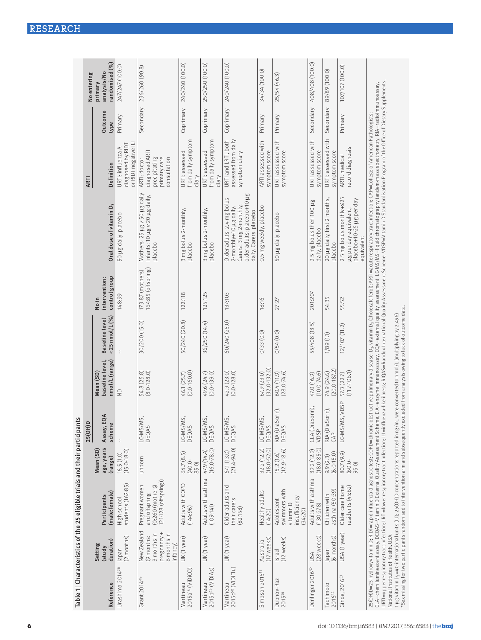|                                            |                                                                                   | Table 1   Characteristics of the 25 eligible trials and their participants                                                                                                                                                                   |                                  |                              |                                                 |                       |                                        |                                                                                                                                                                                                                                                                                                                                                                                                                                                                                                                                                                                                                                                                                                                   |                                                                                |                |                           |
|--------------------------------------------|-----------------------------------------------------------------------------------|----------------------------------------------------------------------------------------------------------------------------------------------------------------------------------------------------------------------------------------------|----------------------------------|------------------------------|-------------------------------------------------|-----------------------|----------------------------------------|-------------------------------------------------------------------------------------------------------------------------------------------------------------------------------------------------------------------------------------------------------------------------------------------------------------------------------------------------------------------------------------------------------------------------------------------------------------------------------------------------------------------------------------------------------------------------------------------------------------------------------------------------------------------------------------------------------------------|--------------------------------------------------------------------------------|----------------|---------------------------|
|                                            |                                                                                   |                                                                                                                                                                                                                                              |                                  | 25(OH)D                      |                                                 |                       |                                        |                                                                                                                                                                                                                                                                                                                                                                                                                                                                                                                                                                                                                                                                                                                   | <b>ARTI</b>                                                                    |                | No entering               |
|                                            | Setting<br>(study                                                                 | Participants                                                                                                                                                                                                                                 | age, years<br>Mean (SD)          | Assay, EQA                   | baseline level,<br>Mean (SD)                    | <b>Baseline</b> level | intervention:<br>No in                 |                                                                                                                                                                                                                                                                                                                                                                                                                                                                                                                                                                                                                                                                                                                   |                                                                                | <b>Dutcome</b> | analysis/No<br>primary    |
| Reference                                  | duration)                                                                         | (male:female)                                                                                                                                                                                                                                | (range)                          | scheme                       | nmol/L (range)                                  | $<$ 25 nmol/L $($ %)  | control group                          | Oral dose of vitamin D <sub>3</sub>                                                                                                                                                                                                                                                                                                                                                                                                                                                                                                                                                                                                                                                                               | Definition                                                                     | type           | randomised (%)            |
| Urashima 2014 <sup>26</sup>                | $(2$ months)<br>Japan                                                             | students (162:85)<br>High school                                                                                                                                                                                                             | $(15.0 - 18.0)$<br>16.5(1.0)     |                              | $\supseteq$                                     |                       | 148:99                                 | 50 µg daily, placebo                                                                                                                                                                                                                                                                                                                                                                                                                                                                                                                                                                                                                                                                                              | or RIDT negative IL<br>diagnosed by RIDT<br>URTI: influenza A                  | Primary        | 247/247 (100.0)           |
| Grant 2014 <sup>48</sup>                   | New Zealand<br>pregnancy+<br>6 months in<br>3 months in<br>(9 months:<br>infancy) | 121:128 (offspring))<br>Pregnant women<br>$(0:260$ (mothers)<br>and offspring                                                                                                                                                                | unborn                           | LC-MS/MS,<br>DEQAS           | 54.8 (25.8)<br>(8.0-128.0)                      | 30/200 (15.0)         | 164:85 (offspring)<br>173:87 (mothers) | Mothers: 25 µg v 50 µg daily<br>Infants: 10 µg v 20 µg daily,<br>placebo                                                                                                                                                                                                                                                                                                                                                                                                                                                                                                                                                                                                                                          | diagnosed ART<br>precipitating<br>primary care<br>consultation<br>ARTI: doctor | Secondary      | 236/260 (90.8)            |
| 2015a <sup>16</sup> (ViDiCO)<br>Martineau  | UK (1 year)                                                                       | Adults with COPD<br>(144:96)                                                                                                                                                                                                                 | 64.7 (8.5)<br>$(40.0 -$<br>85.0) | LC-MS/MS,<br>DEQAS           | $(0.0 - 160.0)$<br>46.1 (25.7)                  | 50/240 (20.8)         | 122:118                                | 3 mg bolus 2-monthly,<br>placebo                                                                                                                                                                                                                                                                                                                                                                                                                                                                                                                                                                                                                                                                                  | from daily symptom<br>URTI: assessed<br>diary                                  |                | Coprimary 240/240 (100.0) |
| 2015b <sup>49</sup> (ViDiAs)<br>Martineau  | UK (1 year)                                                                       | Adults with asthma<br>(109:141)                                                                                                                                                                                                              | $(16.0 - 78.0)$<br>47.9 (14.4)   | LC-MS/MS,<br>DEQAS           | 49.6 (24.7)<br>(0.0-139.0)                      | 36/250 (14.4)         | 125:125                                | 3 mg bolus 2-monthly,<br>placebo                                                                                                                                                                                                                                                                                                                                                                                                                                                                                                                                                                                                                                                                                  | from daily symptom<br>URTI: assessed<br>diary                                  | Coprimary      | 250/250 (100.0)           |
| 2015c <sup>50</sup> (ViDiFlu)<br>Martineau | UK (1 year)                                                                       | Older adults and<br>their carers<br>(82:158)                                                                                                                                                                                                 | $(21.4 - 94.0)$<br>67.1 (13.0)   | LC-MS/MS<br>DEQAS            | 42.9 (23.0)<br>$(0.0 - 128.0)$                  | 60/240 (25.0)         | 137:103                                | older adults: placebo+10 µg<br>Older adults: 2.4 mg bolus<br>Carers: 3 mg 2-monthly,<br>2-monthly+10 µg daily.<br>daily. Carers: placebo                                                                                                                                                                                                                                                                                                                                                                                                                                                                                                                                                                          | URTI and LRTI, both<br>assessed from daily<br>symptom diary                    |                | Coprimary 240/240 (100.0) |
| Simpson 2015 <sup>51</sup>                 | $(17$ weeks)<br>Australia                                                         | Healthy adults<br>(14:20)                                                                                                                                                                                                                    | $(18.0 - 52.0)$<br>32.2 (12.2)   | LC-MS/MS,<br><b>DEOAS</b>    | $(32.0 - 132.0)$<br>67.9 (23.0)                 | 0/33(0.0)             | 18:16                                  | 0.5 mg weekly, placebo                                                                                                                                                                                                                                                                                                                                                                                                                                                                                                                                                                                                                                                                                            | ARTI assessed with<br>symptom score                                            | Primary        | 34/34 (100.0)             |
| Dubnov-Raz<br>2015 <sup>36</sup>           | $(12$ weeks)<br>Israel                                                            | swimmers with<br>insufficiency<br>Adolescent<br>vitamin D<br>(34:20)                                                                                                                                                                         | $(12.9 - 18.6)$<br>15.2(1.6)     | RIA (DiaSorin),<br>DEQAS     | $(28.0 - 74.6)$<br>60.4 (11.9)                  | 0/54(0.0)             | 27:27                                  | 50 µg daily, placebo                                                                                                                                                                                                                                                                                                                                                                                                                                                                                                                                                                                                                                                                                              | URTI assessed with<br>symptom score                                            | Primary        | 25/54 (46.3)              |
| Denlinger 2016 <sup>52</sup>               | (28 weeks)<br>USA                                                                 | Adults with asthma<br>(130:278)                                                                                                                                                                                                              | $(18.0 - 85.0)$<br>39.2 (12.9)   | iorin),<br>CLA (DiaS<br>VDSP | $(10.0 - 74.6)$<br>47.0 (16.9)                  | 55/408 (13.5)         | 201:207                                | 2.5 mg bolus then 100 µg<br>daily, placebo                                                                                                                                                                                                                                                                                                                                                                                                                                                                                                                                                                                                                                                                        | URTI assessed with<br>symptom score                                            | Secondary      | 408/408 (100.0)           |
| Tachimoto<br>2016 <sup>24</sup>            | (6 months)<br>Japan                                                               | asthma (50:39)<br>Children with                                                                                                                                                                                                              | $(6.0 - 15.0)$<br>9.9 (2.3)      | RIA (DiaSorin),<br>CAP       | $(20.0 - 187.2)$<br>74.9 (24.6)                 | 1/89(1.1)             | 54:35                                  | 20 µg daily, first 2 months,<br>placebo                                                                                                                                                                                                                                                                                                                                                                                                                                                                                                                                                                                                                                                                           | URTI: assessed with<br>symptom score                                           | Secondary      | 89/89 (100.0)             |
| Ginde, $201653$                            | USA (1 year)                                                                      | Older care home<br>esidents (45:62)                                                                                                                                                                                                          | 80.7 (9.9)<br>$60.0 -$<br>95.0)  | LC-MS/MS, VDSP               | $(11.7 - 106.1)$<br>57.3 (22.7)                 | 12/107(11.2)          | 55:52                                  | 2.5 mg bolus monthly+525<br>placebo+10-25 µg per day<br>ug per day equivalent,<br>equivalent                                                                                                                                                                                                                                                                                                                                                                                                                                                                                                                                                                                                                      | record diagnosis<br>ARTI: medical                                              | Primary        | 107/107 (100.0)           |
| National Institutes of Health, USA.        |                                                                                   | *Sex missing for two participants randomised to intervention arm and subsequently excluded from analysis owing to lack of outcome data.<br>1µg vitamin D <sub>3</sub> =40 international units (IU); 25(OH)D concentrations reported in ng/mL |                                  |                              | were converted to nmol/L (multiplying by 2.496) |                       |                                        | URTI=upper respiratory tract infection: LRT=lower respiratory tract infection: ILI=influenza-like lilness; RIQAS=Randox International Quality Assessment Scheme; VDSP=Vitamin D Standardisation Program of the Office of Dieta<br>CLA=chemiluminescent assay, DEQAS=Vitamin D External Quality Assessment Scheme; EIA=enzyme immunoassay; EQA=external quality assessment; LC-MS=WaS=liquid chromatography tandem-mass spectrometry; RIA=radioimmunoassay;<br>25(OH)D=25-hydroxyvitamin D; RIDT=rapid influenza diagnostic test; COPD=chronic obstructive pulmonary disease; D <sub>3</sub> , vitamin D <sub>3</sub> (cholecalciferol); ARTI=acute respiratory tract infection; CAP=College of American Pathologi |                                                                                |                |                           |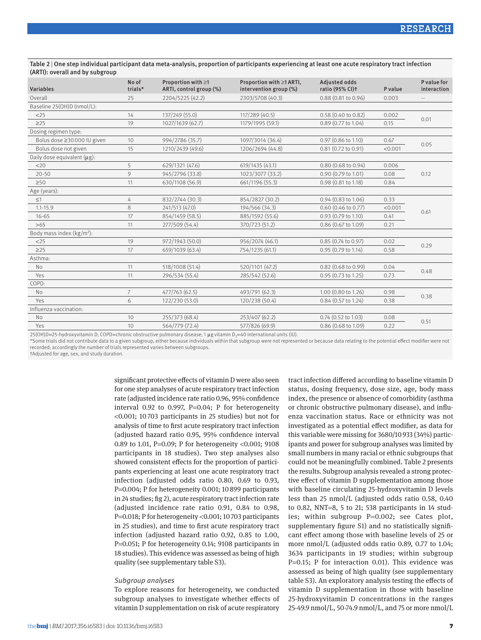#### Table 2 | One step individual participant data meta-analysis, proportion of participants experiencing at least one acute respiratory tract infection (ARTI): overall and by subgroup

| Variables                             | No of<br>trials* | Proportion with $\geq 1$<br>ARTI, control group (%) | Proportion with ≥1 ARTI,<br>intervention group (%) | <b>Adjusted odds</b><br>ratio (95% CI) <sup>+</sup> | P value | P value for<br>interaction |
|---------------------------------------|------------------|-----------------------------------------------------|----------------------------------------------------|-----------------------------------------------------|---------|----------------------------|
| Overall                               | 25               | 2204/5225 (42.2)                                    | 2303/5708 (40.3)                                   | 0.88 (0.81 to 0.96)                                 | 0.003   | $\sim$ $-$                 |
| Baseline 25(OH)D (nmol/L):            |                  |                                                     |                                                    |                                                     |         |                            |
| $<$ 25                                | 14               | 137/249 (55.0)                                      | 117/289 (40.5)                                     | 0.58 (0.40 to 0.82)                                 | 0.002   | 0.01                       |
| $\geq$ 25                             | 19               | 1027/1639 (62.7)                                    | 1179/1995 (59.1)                                   | 0.89 (0.77 to 1.04)                                 | 0.15    |                            |
| Dosing regimen type:                  |                  |                                                     |                                                    |                                                     |         |                            |
| Bolus dose ≥30 000 IU given           | 10               | 994/2786 (35.7)                                     | 1097/3014 (36.4)                                   | 0.97 (0.86 to 1.10)                                 | 0.67    | 0.05                       |
| Bolus dose not given                  | 15               | 1210/2439 (49.6)                                    | 1206/2694 (44.8)                                   | $0.81$ (0.72 to 0.91)                               | < 0.001 |                            |
| Daily dose equivalent (µg):           |                  |                                                     |                                                    |                                                     |         |                            |
| $<$ 20                                | 5                | 629/1321 (47.6)                                     | 619/1435 (43.1)                                    | $0.80$ (0.68 to 0.94)                               | 0.006   |                            |
| $20 - 50$                             | 9                | 945/2796 (33.8)                                     | 1023/3077 (33.2)                                   | 0.90 (0.79 to 1.01)                                 | 0.08    | 0.12                       |
| $\geq 50$                             | 11               | 630/1108 (56.9)                                     | 661/1196 (55.3)                                    | 0.98 (0.81 to 1.18)                                 | 0.84    |                            |
| Age (years):                          |                  |                                                     |                                                    |                                                     |         |                            |
| $\leq$ 1                              | 4                | 832/2744 (30.3)                                     | 854/2827 (30.2)                                    | $0.94(0.83 \text{ to } 1.06)$                       | 0.33    |                            |
| $1.1 - 15.9$                          | 8                | 241/513 (47.0)                                      | 194/566 (34.3)                                     | $0.60$ (0.46 to 0.77)                               | < 0.001 | 0.61                       |
| $16 - 65$                             | 17               | 854/1459 (58.5)                                     | 885/1592 (55.6)                                    | 0.93 (0.79 to 1.10)                                 | 0.41    |                            |
| >65                                   | 11               | 277/509 (54.4)                                      | 370/723 (51.2)                                     | 0.86 (0.67 to 1.09)                                 | 0.21    |                            |
| Body mass index (kg/m <sup>2</sup> ): |                  |                                                     |                                                    |                                                     |         |                            |
| $<$ 25                                | 19               | 972/1943 (50.0)                                     | 956/2074 (46.1)                                    | 0.85 (0.74 to 0.97)                                 | 0.02    | 0.29                       |
| $\geq$ 25                             | 17               | 659/1039 (63.4)                                     | 754/1235 (61.1)                                    | 0.95 (0.79 to 1.14)                                 | 0.58    |                            |
| Asthma:                               |                  |                                                     |                                                    |                                                     |         |                            |
| <b>No</b>                             | 11               | 518/1008 (51.4)                                     | 520/1101 (47.2)                                    | $0.82$ (0.68 to 0.99)                               | 0.04    | 0.48                       |
| Yes                                   | 11               | 296/534 (55.4)                                      | 285/542 (52.6)                                     | 0.95 (0.73 to 1.25)                                 | 0.73    |                            |
| COPD:                                 |                  |                                                     |                                                    |                                                     |         |                            |
| No                                    | $\overline{7}$   | 477/763 (62.5)                                      | 493/791 (62.3)                                     | 1.00 (0.80 to 1.26)                                 | 0.98    | 0.38                       |
| Yes                                   | 6                | 122/230 (53.0)                                      | 120/238 (50.4)                                     | 0.84 (0.57 to 1.24)                                 | 0.38    |                            |
| Influenza vaccination:                |                  |                                                     |                                                    |                                                     |         |                            |
| <b>No</b>                             | 10               | 255/373 (68.4)                                      | 253/407 (62.2)                                     | 0.74 (0.52 to 1.03)                                 | 0.08    | 0.51                       |
| Yes                                   | 10               | 564/779 (72.4)                                      | 577/826 (69.9)                                     | 0.86 (0.68 to 1.09)                                 | 0.22    |                            |

25(OH)D=25-hydroxyvitamin D; COPD=chronic obstructive pulmonary disease; 1 µg vitamin D<sub>3</sub>=40 international units (IU).

\*Some trials did not contribute data to a given subgroup, either because individuals within that subgroup were not represented or because data relating to the potential effect modifier were not recorded; accordingly the number of trials represented varies between subgroups.

†Adjusted for age, sex, and study duration.

significant protective effects of vitamin D were also seen for one step analyses of acute respiratory tract infection rate (adjusted incidence rate ratio 0.96, 95% confidence interval 0.92 to 0.997,  $P=0.04$ ; P for heterogeneity <0.001; 10703 participants in 25 studies) but not for analysis of time to first acute respiratory tract infection (adjusted hazard ratio 0.95, 95% confidence interval 0.89 to 1.01, P=0.09; P for heterogeneity <0.001; 9108 participants in 18 studies). Two step analyses also showed consistent effects for the proportion of participants experiencing at least one acute respiratory tract infection (adjusted odds ratio 0.80, 0.69 to 0.93, P=0.004; P for heterogeneity 0.001; 10899 participants in 24 studies; fig 2), acute respiratory tract infection rate (adjusted incidence rate ratio 0.91, 0.84 to 0.98, P=0.018; P for heterogeneity <0.001; 10703 participants in 25 studies), and time to first acute respiratory tract infection (adjusted hazard ratio 0.92, 0.85 to 1.00, P=0.051; P for heterogeneity 0.14; 9108 participants in 18 studies). This evidence was assessed as being of high quality (see supplementary table S3).

#### *Subgroup analyses*

To explore reasons for heterogeneity, we conducted subgroup analyses to investigate whether effects of vitamin D supplementation on risk of acute respiratory tract infection differed according to baseline vitamin D status, dosing frequency, dose size, age, body mass index, the presence or absence of comorbidity (asthma or chronic obstructive pulmonary disease), and influenza vaccination status. Race or ethnicity was not investigated as a potential effect modifier, as data for this variable were missing for 3680/10933 (34%) participants and power for subgroup analyses was limited by small numbers in many racial or ethnic subgroups that could not be meaningfully combined. Table 2 presents the results. Subgroup analysis revealed a strong protective effect of vitamin D supplementation among those with baseline circulating 25-hydroxyvitamin D levels less than 25 nmol/L (adjusted odds ratio 0.58, 0.40 to 0.82, NNT=8, 5 to 21; 538 participants in 14 studies; within subgroup P=0.002; see Cates plot, supplementary figure S1) and no statistically significant effect among those with baseline levels of 25 or more nmol/L (adjusted odds ratio 0.89, 0.77 to 1.04; 3634 participants in 19 studies; within subgroup P=0.15; P for interaction 0.01). This evidence was assessed as being of high quality (see supplementary table S3). An exploratory analysis testing the effects of vitamin D supplementation in those with baseline 25-hydroxyvitamin D concentrations in the ranges 25-49.9 nmol/L, 50-74.9 nmol/L, and 75 or more nmol/L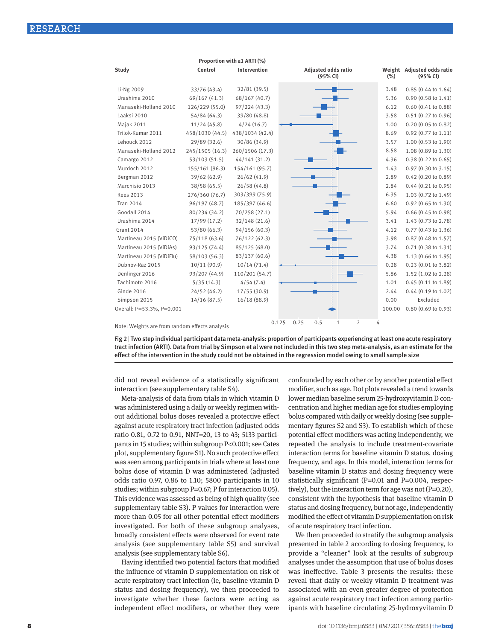|                                         |                 | Proportion with $\geq 1$ ARTI (%) |                                        |        |                                        |
|-----------------------------------------|-----------------|-----------------------------------|----------------------------------------|--------|----------------------------------------|
| Study                                   | Control         | Intervention                      | <b>Adjusted odds ratio</b><br>(95% CI) | (%)    | Weight Adjusted odds ratio<br>(95% CI) |
| Li-Ng 2009                              | 33/76 (43.4)    | 32/81(39.5)                       |                                        | 3.48   | $0.85(0.44 \text{ to } 1.64)$          |
| Urashima 2010                           | 69/167 (41.3)   | 68/167 (40.7)                     |                                        | 5.36   | $0.90(0.58 \text{ to } 1.41)$          |
| Manaseki-Holland 2010                   | 126/229 (55.0)  | 97/224(43.3)                      |                                        | 6.12   | $0.60$ $(0.41$ to $0.88)$              |
| Laaksi 2010                             | 54/84 (64.3)    | 39/80 (48.8)                      |                                        | 3.58   | 0.51 (0.27 to 0.96)                    |
| Majak 2011                              | 11/24(45.8)     | 4/24(16.7)                        |                                        | 1.00   | 0.20 (0.05 to 0.82)                    |
| Trilok-Kumar 2011                       | 458/1030 (44.5) | 438/1034 (42.4)                   |                                        | 8.69   | 0.92 (0.77 to 1.11)                    |
| Lehouck 2012                            | 29/89 (32.6)    | 30/86 (34.9)                      |                                        | 3.57   | 1.00 (0.53 to 1.90)                    |
| Manaseki-Holland 2012                   | 245/1505 (16.3) | 260/1506 (17.3)                   |                                        | 8.58   | 1.08 (0.89 to 1.30)                    |
| Camargo 2012                            | 53/103(51.5)    | 44/141 (31.2)                     |                                        | 4.36   | 0.38 (0.22 to 0.65)                    |
| Murdoch 2012                            | 155/161 (96.3)  | 154/161 (95.7)                    |                                        | 1.43   | 0.97 (0.30 to 3.15)                    |
| Bergman 2012                            | 39/62 (62.9)    | 26/62(41.9)                       |                                        | 2.89   | 0.42 (0.20 to 0.89)                    |
| Marchisio 2013                          | 38/58 (65.5)    | 26/58(44.8)                       |                                        | 2.84   | $0.44$ $(0.21$ to $0.95)$              |
| <b>Rees 2013</b>                        | 276/360 (76.7)  | 303/399 (75.9)                    |                                        | 6.35   | 1.03 (0.72 to 1.49)                    |
| <b>Tran 2014</b>                        | 96/197 (48.7)   | 185/397 (46.6)                    |                                        | 6.60   | 0.92 (0.65 to 1.30)                    |
| Goodall 2014                            | 80/234 (34.2)   | 70/258 (27.1)                     |                                        | 5.94   | $0.66$ $(0.45$ to $0.98)$              |
| Urashima 2014                           | 17/99 (17.2)    | 32/148 (21.6)                     |                                        | 3.41   | 1.43 (0.73 to 2.78)                    |
| <b>Grant 2014</b>                       | 53/80 (66.3)    | 94/156(60.3)                      |                                        | 4.12   | 0.77 (0.43 to 1.36)                    |
| Martineau 2015 (ViDiCO)                 | 75/118 (63.6)   | 76/122 (62.3)                     |                                        | 3.98   | $0.87$ (0.48 to 1.57)                  |
| Martineau 2015 (ViDiAs)                 | 93/125 (74.4)   | 85/125 (68.0)                     |                                        | 3.74   | 0.71 (0.38 to 1.31)                    |
| Martineau 2015 (ViDiFlu)                | 58/103 (56.3)   | 83/137 (60.6)                     |                                        | 4.38   | 1.13 (0.66 to 1.95)                    |
| Dubnov-Raz 2015                         | 10/11(90.9)     | 10/14(71.4)                       |                                        | 0.28   | 0.23 (0.01 to 3.82)                    |
| Denlinger 2016                          | 93/207 (44.9)   | 110/201 (54.7)                    |                                        | 5.86   | 1.52 (1.02 to 2.28)                    |
| Tachimoto 2016                          | 5/35(14.3)      | 4/54(7.4)                         |                                        | 1.01   | $0.45$ $(0.11$ to $1.89)$              |
| <b>Ginde 2016</b>                       | 24/52 (46.2)    | 17/55(30.9)                       |                                        | 2.44   | 0.44 (0.19 to 1.02)                    |
| Simpson 2015                            | 14/16(87.5)     | 16/18 (88.9)                      |                                        | 0.00   | Excluded                               |
| Overall: I <sup>2</sup> =53.3%, P=0.001 |                 |                                   |                                        | 100.00 | 0.80 (0.69 to 0.93)                    |
|                                         |                 |                                   | 0.125<br>0.5<br>2<br>0.25<br>1         | 4      |                                        |

Note: Weights are from random effects analysis

Fig 2 | Two step individual participant data meta-analysis: proportion of participants experiencing at least one acute respiratory tract infection (ARTI). Data from trial by Simpson et al were not included in this two step meta-analysis, as an estimate for the effect of the intervention in the study could not be obtained in the regression model owing to small sample size

did not reveal evidence of a statistically significant interaction (see supplementary table S4).

Meta-analysis of data from trials in which vitamin D was administered using a daily or weekly regimen without additional bolus doses revealed a protective effect against acute respiratory tract infection (adjusted odds ratio 0.81, 0.72 to 0.91, NNT=20, 13 to 43; 5133 participants in 15 studies; within subgroup P<0.001; see Cates plot, supplementary figure S1). No such protective effect was seen among participants in trials where at least one bolus dose of vitamin D was administered (adjusted odds ratio 0.97, 0.86 to 1.10; 5800 participants in 10 studies; within subgroup P=0.67; P for interaction 0.05). This evidence was assessed as being of high quality (see supplementary table S3). P values for interaction were more than 0.05 for all other potential effect modifiers investigated. For both of these subgroup analyses, broadly consistent effects were observed for event rate analysis (see supplementary table S5) and survival analysis (see supplementary table S6).

Having identified two potential factors that modified the influence of vitamin D supplementation on risk of acute respiratory tract infection (ie, baseline vitamin D status and dosing frequency), we then proceeded to investigate whether these factors were acting as independent effect modifiers, or whether they were

confounded by each other or by another potential effect modifier, such as age. Dot plots revealed a trend towards lower median baseline serum 25-hydroxyvitamin D concentration and higher median age for studies employing bolus compared with daily or weekly dosing (see supplementary figures S2 and S3). To establish which of these potential effect modifiers was acting independently, we repeated the analysis to include treatment-covariate interaction terms for baseline vitamin D status, dosing frequency, and age. In this model, interaction terms for baseline vitamin D status and dosing frequency were statistically significant (P=0.01 and P=0.004, respectively), but the interaction term for age was not  $(P=0.20)$ , consistent with the hypothesis that baseline vitamin D status and dosing frequency, but not age, independently modified the effect of vitamin D supplementation on risk of acute respiratory tract infection.

We then proceeded to stratify the subgroup analysis presented in table 2 according to dosing frequency, to provide a "cleaner" look at the results of subgroup analyses under the assumption that use of bolus doses was ineffective. Table 3 presents the results: these reveal that daily or weekly vitamin D treatment was associated with an even greater degree of protection against acute respiratory tract infection among participants with baseline circulating 25-hydroxyvitamin D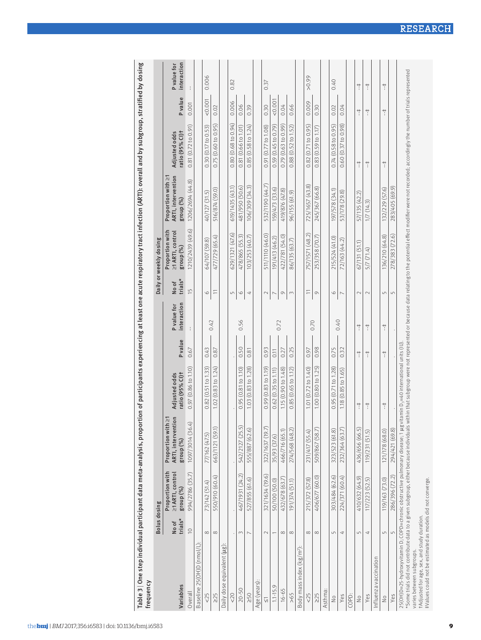| frequency                                                                                                                                                                                                                                                                                                                                    |                     |                                                  |                                                         |                                                   |                      |                            |                     |                                                  |                                                       |                                      |               |                            |
|----------------------------------------------------------------------------------------------------------------------------------------------------------------------------------------------------------------------------------------------------------------------------------------------------------------------------------------------|---------------------|--------------------------------------------------|---------------------------------------------------------|---------------------------------------------------|----------------------|----------------------------|---------------------|--------------------------------------------------|-------------------------------------------------------|--------------------------------------|---------------|----------------------------|
|                                                                                                                                                                                                                                                                                                                                              | <b>Bolus dosing</b> |                                                  |                                                         |                                                   |                      |                            |                     | Daily or weekly dosing                           |                                                       |                                      |               |                            |
| Variables                                                                                                                                                                                                                                                                                                                                    | trials*<br>No of    | Proportion with<br>≥1 ARTI, control<br>group (%) | ARTI, intervention<br>지<br>Proportion with<br>group (%) | Adjusted odds<br>ratio (95% CI)t                  | <b>P</b> value       | interaction<br>P value for | trials*<br>No of    | ≥1 ARTI, control<br>Proportion with<br>group (%) | ARTI, intervention<br>Proportion with ≥1<br>group (%) | Adjusted odds<br>ratio (95% Cl)t     | Pvalue        | interaction<br>P value for |
| Overall                                                                                                                                                                                                                                                                                                                                      | $\supseteq$         | 994/2786 (35.7)                                  | 1097/3014 (36.4)                                        | 0.97 (0.86 to 1.10)                               | 0.67                 | ÷                          | $\frac{5}{1}$       | 1210/2439 (49.6)                                 | $\odot$<br>1206/2694 (44                              | 0.81(0.72 to 0.91)                   | 0.001         |                            |
| Baseline 25(OH)D (nmol/L)                                                                                                                                                                                                                                                                                                                    |                     |                                                  |                                                         |                                                   |                      |                            |                     |                                                  |                                                       |                                      |               |                            |
| 5 <sup>2</sup>                                                                                                                                                                                                                                                                                                                               | $\infty$            | Ð<br>73/142 (51.                                 | 77/162 (47.5)                                           | to 1.33<br>0.82(0.51)                             | 64.0                 |                            | $\circ$             | <u>ର</u><br>(59.<br>64/107                       | G<br>40/127 (31.                                      | 0.30(0.17 to 0.53)                   | 0.001         | 0.006                      |
| $\geq$ 25                                                                                                                                                                                                                                                                                                                                    | $\infty$            | 550/910 (60.4)                                   | 663/1121 (59.1)                                         | 1.02(0.83 to 1.24)                                | 0.87                 | 0.42                       | $\equiv$            | 477/729 (65.4)                                   | 516/874 (59.0)                                        | 0.75(0.60 to 0.95)                   | 0.02          |                            |
| Daily dose equivalent (ug)                                                                                                                                                                                                                                                                                                                   |                     |                                                  |                                                         |                                                   |                      |                            |                     |                                                  |                                                       |                                      |               |                            |
| $20$                                                                                                                                                                                                                                                                                                                                         |                     |                                                  |                                                         |                                                   |                      |                            | $\overline{5}$      | 629/1321 (47.6)                                  | 619/1435 (43.1)                                       | 0.80(0.68 to 0.94)                   | 0.006         | 0.82                       |
| $20 - 50$                                                                                                                                                                                                                                                                                                                                    | $\sim$              | 467/1931 (24.2)                                  | 542/2127 (25.5)                                         | 0.95(0.81 to 1.10)                                | 0.50                 | 0.56                       | $\circ$             | 478/865 (55.3)                                   | 481/950 (50.6)                                        | 0.81(0.66 to 1.01)                   | 0.06          |                            |
| 250                                                                                                                                                                                                                                                                                                                                          | $\overline{ }$      | 527/855 (61.6)                                   | 555/887 (62.6)                                          | 1.28<br>$\overline{\mathbb{C}}$<br>(0.83)<br>1,03 | $\approx$<br>$\circ$ |                            | 4                   | 103/253 (40.7)                                   | 106/309 (34.3)                                        | $(0.58 \text{ to } 1.24)$<br>0.85    | 0.39          |                            |
| Age (years)                                                                                                                                                                                                                                                                                                                                  |                     |                                                  |                                                         |                                                   |                      |                            |                     |                                                  |                                                       |                                      |               |                            |
| $\overline{\vee}$                                                                                                                                                                                                                                                                                                                            | $\sim$              | 321/1634 (19.6)                                  | 322/1637 (19.7)                                         | 0.99(0.83 to 1.19)                                | 0.93                 |                            | $\supset$           | 511/1110 (46.0)                                  | 532/1190 (44.7)                                       | 0.91 (0.77 to 1.08)                  | 0.30          | 0.37                       |
| $1.1 - 15.9$                                                                                                                                                                                                                                                                                                                                 |                     | 50/100 (50.0)                                    | 35/93 (37.6)                                            | 0.62(0.35 to 1.11)                                | 0.11                 |                            |                     | 191/413 (46.2)                                   | 159/473 (33.6)                                        | 0.59(0.45 to 0.79)                   | 0.001         |                            |
| $16 - 65$                                                                                                                                                                                                                                                                                                                                    | $\infty$            | 432/678 (63.7)                                   | 466/716 (65.1)                                          | 1.15 (0.90 to 1.48)                               | 0.27                 | 0.72                       | $\circlearrowright$ | 422/781 (54.0)                                   | 419/876 (47.8)                                        | 0.79(0.63 to 0.99)                   | 0.04          |                            |
| >65                                                                                                                                                                                                                                                                                                                                          | $\infty$            | 191/374 (51.1)                                   | 274/568 (48.2)                                          | 0.85(0.65 to 1.12)                                | 0.25                 |                            | 3                   | 86/135 (63.7)                                    | 96/155 (61.9)                                         | 0.88(0.52 to 1.52)                   | 0.66          |                            |
| Body mass index (kg/m <sup>2</sup> )                                                                                                                                                                                                                                                                                                         |                     |                                                  |                                                         |                                                   |                      |                            |                     |                                                  |                                                       |                                      |               |                            |
| 5 <sup>2</sup>                                                                                                                                                                                                                                                                                                                               | $\infty$            | 215/372 (57.8)                                   | 231/417 (55.4)                                          | .01 (0.72 to 1.40)                                | 0.97                 |                            | $\equiv$            | 757/1571 (48.2)                                  | 725/1657 (43.8)                                       | 0.82(0.71 to 0.95)                   | 0.009         | 56.0<                      |
| $\geq$ 25                                                                                                                                                                                                                                                                                                                                    | $\infty$            | (60.0)<br>406/677                                | (58.7)<br>509/867                                       | 1.00(0.80 to 1.25)                                | 0.98                 | 0.70                       | $\circlearrowright$ | 253/358 (70.7)                                   | 245/367 (66.8)                                        | $(0.59 \text{ to } 1.17)$<br>83<br>ं | 0.30          |                            |
| Asthma:                                                                                                                                                                                                                                                                                                                                      |                     |                                                  |                                                         |                                                   |                      |                            |                     |                                                  |                                                       |                                      |               |                            |
| $\frac{1}{2}$                                                                                                                                                                                                                                                                                                                                | $\sqrt{ }$          | 303/484 (62.6)                                   | 323/523 (61.8)                                          | 0.95(0.71 to 1.28)                                | 0.75                 |                            | $\circ$             | 215/524 (41.0)                                   | (1,45) 875/261                                        | 0.74(0.58 to 0.95)                   | 0.02          | 0.40                       |
| Yes                                                                                                                                                                                                                                                                                                                                          | 4                   | 224/371 (60.4)                                   | 232/364 (63.7)                                          | 1.18(0.85 to 1.65)                                | 0.32                 | 0.40                       | $\overline{ }$      | 72/163 (44.2)                                    | 53/178 (29.8)                                         | $0.60(0.37)$ to $0.98$ )             | 0.04          |                            |
| COPD:                                                                                                                                                                                                                                                                                                                                        |                     |                                                  |                                                         |                                                   |                      |                            |                     |                                                  |                                                       |                                      |               |                            |
| $\frac{1}{2}$                                                                                                                                                                                                                                                                                                                                | $\overline{L}$      | 410/632 (64.9)                                   | 436/656 (66.5)                                          | $\ddot{}$                                         |                      | $\ddot{}$                  | $\sim$              | 67/131 (51.1)                                    | 57/135 (42.2)                                         | $\ddot{}$                            | $\ddot{ }$    | $\ddagger$                 |
| Yes                                                                                                                                                                                                                                                                                                                                          | 4                   | 117/223 (52.5)                                   | 119/231 (51.5)                                          | $\frac{1}{2}$                                     | $\frac{+}{\cdot}$    | $\frac{+}{\cdot}$          | $\mathbb{C}$        | 5/7(71.4)                                        | 1/7(14.3)                                             | $\ddagger$                           | $\frac{1}{2}$ | $\ddagger$                 |
| Influenza vaccination                                                                                                                                                                                                                                                                                                                        |                     |                                                  |                                                         |                                                   |                      |                            |                     |                                                  |                                                       |                                      |               |                            |
| $\frac{1}{2}$                                                                                                                                                                                                                                                                                                                                | 5                   | (73.0)<br>119/163                                | 121/178 (68.0)                                          | $\ddot{ }$                                        | $+$                  | $\ddot{}$                  | $\mathsf{L}\cap$    | 136/210 (64.8)                                   | 132/229 (57.6)                                        | $\underset{i}{+}$                    | $\ddot{ }$    | $\ddot{}$                  |
| Yes                                                                                                                                                                                                                                                                                                                                          | 5                   | 286/396 (72.2)                                   | 294/421 (69.8)                                          |                                                   |                      |                            | $\mathsf{L}\cap$    | 278/383 (72.6)                                   | 283/405 (69.9)                                        |                                      |               |                            |
| *Some trials did not contribute data to a given subgroup, either because individuals within that subgroup were not represented or because data relating to the potential effect modifier were not recorded; accordingly the nu<br>25(OH)D=25-hydroxyvitamin D; COPD=chronic obstructive pulmonary disease; 1 µg<br>varies between subgroups. |                     |                                                  |                                                         | $i$ tamin $D_3 = 40$ international units $(10)$   |                      |                            |                     |                                                  |                                                       |                                      |               |                            |
| #Values could not be estimated as models did not converge.<br>tAdjusted for age, sex, and study duration.                                                                                                                                                                                                                                    |                     |                                                  |                                                         |                                                   |                      |                            |                     |                                                  |                                                       |                                      |               |                            |

RESEARCH

9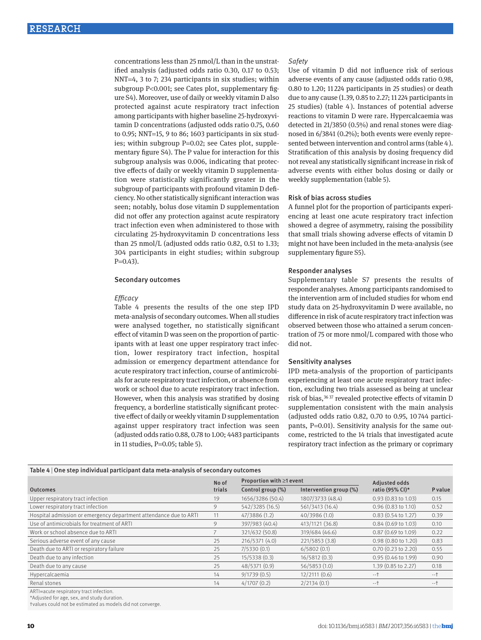concentrations less than 25 nmol/L than in the unstratified analysis (adjusted odds ratio 0.30, 0.17 to 0.53; NNT=4, 3 to 7; 234 participants in six studies; within subgroup P<0.001; see Cates plot, supplementary figure S4). Moreover, use of daily or weekly vitamin D also protected against acute respiratory tract infection among participants with higher baseline 25-hydroxyvitamin D concentrations (adjusted odds ratio 0.75, 0.60 to 0.95; NNT=15, 9 to 86; 1603 participants in six studies; within subgroup P=0.02; see Cates plot, supplementary figure S4). The P value for interaction for this subgroup analysis was 0.006, indicating that protective effects of daily or weekly vitamin D supplementation were statistically significantly greater in the subgroup of participants with profound vitamin D deficiency. No other statistically significant interaction was seen; notably, bolus dose vitamin D supplementation did not offer any protection against acute respiratory tract infection even when administered to those with circulating 25-hydroxyvitamin D concentrations less than 25 nmol/L (adjusted odds ratio 0.82, 0.51 to 1.33; 304 participants in eight studies; within subgroup  $P=0.43$ ).

#### Secondary outcomes

#### *Efficacy*

Table 4 presents the results of the one step IPD meta-analysis of secondary outcomes. When all studies were analysed together, no statistically significant effect of vitamin D was seen on the proportion of participants with at least one upper respiratory tract infection, lower respiratory tract infection, hospital admission or emergency department attendance for acute respiratory tract infection, course of antimicrobials for acute respiratory tract infection, or absence from work or school due to acute respiratory tract infection. However, when this analysis was stratified by dosing frequency, a borderline statistically significant protective effect of daily or weekly vitamin D supplementation against upper respiratory tract infection was seen (adjusted odds ratio 0.88, 0.78 to 1.00; 4483 participants in 11 studies, P=0.05; table 5).

#### *Safety*

Use of vitamin D did not influence risk of serious adverse events of any cause (adjusted odds ratio 0.98, 0.80 to 1.20; 11 224 participants in 25 studies) or death due to any cause (1.39, 0.85 to 2.27; 11 224 participants in 25 studies) (table 4 ). Instances of potential adverse reactions to vitamin D were rare. Hypercalcaemia was detected in 21/3850 (0.5%) and renal stones were diagnosed in 6/3841 (0.2%); both events were evenly represented between intervention and control arms (table 4). Stratification of this analysis by dosing frequency did not reveal any statistically significant increase in risk of adverse events with either bolus dosing or daily or weekly supplementation (table 5).

#### Risk of bias across studies

A funnel plot for the proportion of participants experiencing at least one acute respiratory tract infection showed a degree of asymmetry, raising the possibility that small trials showing adverse effects of vitamin D might not have been included in the meta-analysis (see supplementary figure S5).

#### Responder analyses

Supplementary table S7 presents the results of responder analyses. Among participants randomised to the intervention arm of included studies for whom end study data on 25-hydroxyvitamin D were available, no difference in risk of acute respiratory tract infection was observed between those who attained a serum concentration of 75 or more nmol/L compared with those who did not.

#### Sensitivity analyses

IPD meta-analysis of the proportion of participants experiencing at least one acute respiratory tract infection, excluding two trials assessed as being at unclear risk of bias,<sup>36 37</sup> revealed protective effects of vitamin D supplementation consistent with the main analysis (adjusted odds ratio 0.82, 0.70 to 0.95, 10 744 participants, P=0.01). Sensitivity analysis for the same outcome, restricted to the 14 trials that investigated acute respiratory tract infection as the primary or coprimary

| Table 4   One step individual participant data meta-analysis of secondary outcomes |        |                                |                        |                               |         |
|------------------------------------------------------------------------------------|--------|--------------------------------|------------------------|-------------------------------|---------|
|                                                                                    | No of  | Proportion with $\geq 1$ event |                        | <b>Adjusted odds</b>          |         |
| <b>Outcomes</b>                                                                    | trials | Control group (%)              | Intervention group (%) | ratio (95% CI)*               | P value |
| Upper respiratory tract infection                                                  | 19     | 1656/3286 (50.4)               | 1807/3733 (48.4)       | $0.93(0.83 \text{ to } 1.03)$ | 0.15    |
| Lower respiratory tract infection                                                  | 9      | 542/3285 (16.5)                | 561/3413 (16.4)        | $0.96$ $(0.83$ to $1.10)$     | 0.52    |
| Hospital admission or emergency department attendance due to ARTI                  | 11     | 47/3886 (1.2)                  | 40/3986 (1.0)          | $0.83$ (0.54 to 1.27)         | 0.39    |
| Use of antimicrobials for treatment of ARTI                                        | 9      | 397/983 (40.4)                 | 413/1121 (36.8)        | $0.84$ (0.69 to 1.03)         | 0.10    |
| Work or school absence due to ARTI                                                 |        | 321/632 (50.8)                 | 319/684 (46.6)         | 0.87 (0.69 to 1.09)           | 0.22    |
| Serious adverse event of any cause                                                 | 25     | 216/5371 (4.0)                 | 221/5853 (3.8)         | 0.98 (0.80 to 1.20)           | 0.83    |
| Death due to ARTI or respiratory failure                                           | 25     | 7/5330(0.1)                    | 6/5802(0.1)            | $0.70$ $(0.23$ to $2.20)$     | 0.55    |
| Death due to any infection                                                         | 25     | 15/5338 (0.3)                  | 16/5812(0.3)           | $0.95(0.46 \text{ to } 1.99)$ | 0.90    |
| Death due to any cause                                                             | 25     | 48/5371 (0.9)                  | 56/5853 (1.0)          | 1.39 (0.85 to 2.27)           | 0.18    |
| Hypercalcaemia                                                                     | 14     | 9/1739(0.5)                    | 12/2111(0.6)           | $-+$                          | $-1$    |
| Renal stones                                                                       | 14     | 4/1707(0.2)                    | 2/2134(0.1)            | $-+$                          | $-+$    |

ARTI=acute respiratory tract infection.

\*Adjusted for age, sex, and study duration.

†values could not be estimated as models did not converge.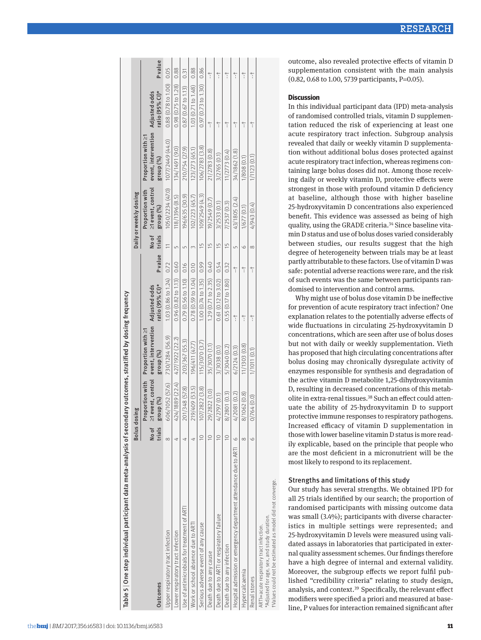| Table 5   One step individual participant data meta-analysis of secondary outcomes, stratified by dosing frequency |                 |                                                   |                                                                      |                                    |                      |                 |                                                   |                                                                      |                                    |               |
|--------------------------------------------------------------------------------------------------------------------|-----------------|---------------------------------------------------|----------------------------------------------------------------------|------------------------------------|----------------------|-----------------|---------------------------------------------------|----------------------------------------------------------------------|------------------------------------|---------------|
|                                                                                                                    |                 | <b>Bolus dosing</b>                               |                                                                      |                                    |                      |                 | Daily or weekly dosing                            |                                                                      |                                    |               |
| Outcomes                                                                                                           | No of<br>trials | Proportion with<br>≥1 event, control<br>group (%) | event, intervention Adjusted odds<br>Proportion with ≥1<br>group (%) | ratio (95% CI)*                    | P value              | No of<br>trials | ≥1 event, control<br>Proportion with<br>group (%) | event, intervention Adjusted odds<br>Proportion with ≥1<br>group (%) | ratio (95% CI)*                    | Pvalue        |
| Jpper respiratory tract infection                                                                                  | $\infty$        | 606/1052 (57.6)                                   | 730/1284 (56.9)                                                      | 1.03 (0.86 to 1.24) 0.72           |                      | $\equiv$        | 1050/2234 (47.0) 1077/2449 (44.0)                 |                                                                      | 0.88 (0.78 to 1.00)                | 0.05          |
| ower respiratory tract infection                                                                                   | 4               | 424/1889 (22.4)                                   | 427/1922 (22.2)                                                      | $0.96(0.82 \text{ to } 1.13)$ 0.60 |                      | 5               | 118/1396 (8.5)                                    | 134/1491 (9.0)                                                       | $0.98$ $(0.75$ to $1.28)$          | 0.88          |
| Jse of antimicrobials for treatment of ART                                                                         | ₹               | 201/348 (57.8)                                    | 203/367 (55.3)                                                       | 0.79(0.56 to 1.10) 0.16            |                      | 5               | 196/635 (30.9)                                    | 210/754 (27.9)                                                       | 0.87(0.67 to 1.13)                 | 0.31          |
| Work or school absence due to ART                                                                                  |                 | 219/409 (53.5)                                    | 196/411 (47.7)                                                       | $0.78(0.59 to 1.04)$ 0.10          |                      | 3               | 102/223 (45.7)                                    | 123/273(45.1)                                                        | 1.03 (0.71 to 1.48)                | 0.88          |
| Serious adverse event of any cause                                                                                 | $\supseteq$     | 107/2822 (3.8)                                    | 115/3070 (3.7)                                                       | 1.00 (0.74 to 1.35) 0.99           |                      | $\frac{1}{2}$   | 109/2549(4.3)                                     | 106/2783(3.8)                                                        | $0.97(0.73 \text{ to } 1.30)$ 0.86 |               |
| Death due to any cause                                                                                             | $\supseteq$     | 29/2822 (1.0)                                     | 35/3070 (1.1)                                                        | 1.29 (0.71 to 2.35) 0.40           |                      | $\frac{1}{2}$   | 19/2549 (0.7)                                     | 21/2783 (0.8)                                                        | ţ                                  | ţ             |
| Death due to ARTI or respiratory failure                                                                           | $\supseteq$     | 4/2797 (0.1)                                      | 3/3038 (0.1)                                                         | 0.61 (0.12 to 3.02) 0.54           |                      | $\frac{5}{1}$   | 3/2533(0.1)                                       | 3/2765(0.1)                                                          | ٦                                  | $\ddot{\tau}$ |
| Death due to any infection                                                                                         | $\supseteq$     | 8/2801 (0.3)                                      | 5/3040 (0.2)                                                         | 0.55 (0.17 to 1.80) 0.32           |                      | $\frac{1}{2}$   | 7/2537 (0.3)                                      | 11/2773(0.4)                                                         | 7                                  | 7             |
| Hospital admission or emergency department attendance due to ARTI                                                  | $\circ$         | 4/2081 (0.2)                                      | 6/2124(0.3)                                                          | ţ                                  | ţ                    | 5               | 43/1805 (2.4)                                     | 34/1862 (1.8)                                                        | ţ                                  | ţ             |
| vpercalcaemia                                                                                                      | $\infty$        | 8/1062 (0.8)                                      | 11/1303 (0.8)                                                        | $\frac{1}{\sqrt{2}}$               | $\frac{1}{\sqrt{2}}$ | $\circ$         | 1/677(0.1)                                        | 1/808(0.1)                                                           | 7                                  | ţ             |
| Renal stones                                                                                                       | O               | 0/764 (0.0)                                       | 1/1011(0.1)                                                          | ţ                                  | ţ                    | $\infty$        | 4/943 (0.4)                                       | 1/1123(0.1)                                                          | ٦                                  | ţ             |
| ومستقله ومستراه والمتروبة والمستحدث<br>ARTI=acute respiratory tract infection.                                     |                 |                                                   |                                                                      |                                    |                      |                 |                                                   |                                                                      |                                    |               |

\*Adjusted for age, sex, and study duration.

†Values could not be estimated as model did not converge.

outcome, also revealed protective effects of vitamin D supplementation consistent with the main analysis (0.82, 0.68 to 1.00, 5739 participants, P=0.05).

# **Discussion**

In this individual participant data (IPD) meta-analysis of randomised controlled trials, vitamin D supplementation reduced the risk of experiencing at least one acute respiratory tract infection. Subgroup analysis revealed that daily or weekly vitamin D supplementation without additional bolus doses protected against acute respiratory tract infection, whereas regimens containing large bolus doses did not. Among those receiving daily or weekly vitamin D, protective effects were strongest in those with profound vitamin D deficiency at baseline, although those with higher baseline 25-hydroxyvitamin D concentrations also experienced benefit. This evidence was assessed as being of high quality, using the GRADE criteria.34 Since baseline vitamin D status and use of bolus doses varied considerably between studies, our results suggest that the high degree of heterogeneity between trials may be at least partly attributable to these factors. Use of vitamin D was safe: potential adverse reactions were rare, and the risk of such events was the same between participants randomised to intervention and control arms.

Why might use of bolus dose vitamin D be ineffective for prevention of acute respiratory tract infection? One explanation relates to the potentially adverse effects of wide fluctuations in circulating 25-hydroxyvitamin D concentrations, which are seen after use of bolus doses but not with daily or weekly supplementation. Vieth has proposed that high circulating concentrations after bolus dosing may chronically dysregulate activity of enzymes responsible for synthesis and degradation of the active vitamin D metabolite 1,25-dihydroxyvitamin D, resulting in decreased concentrations of this metabolite in extra-renal tissues.38 Such an effect could attenuate the ability of 25-hydroxyvitamin D to support protective immune responses to respiratory pathogens. Increased efficacy of vitamin D supplementation in those with lower baseline vitamin D status is more readily explicable, based on the principle that people who are the most deficient in a micronutrient will be the most likely to respond to its replacement.

# Strengths and limitations of this study

Our study has several strengths. We obtained IPD for all 25 trials identified by our search; the proportion of randomised participants with missing outcome data was small (3.4%); participants with diverse characteristics in multiple settings were represented; and 25-hydroxyvitamin D levels were measured using validated assays in laboratories that participated in external quality assessment schemes. Our findings therefore have a high degree of internal and external validity. Moreover, the subgroup effects we report fulfil published "credibility criteria" relating to study design, analysis, and context.39 Specifically, the relevant effect modifiers were specified a priori and measured at base-**Example 12 Solution remained significant after the significant after the significant after the significant after the significant after the significant of this study our search; the proportion of this study our search;**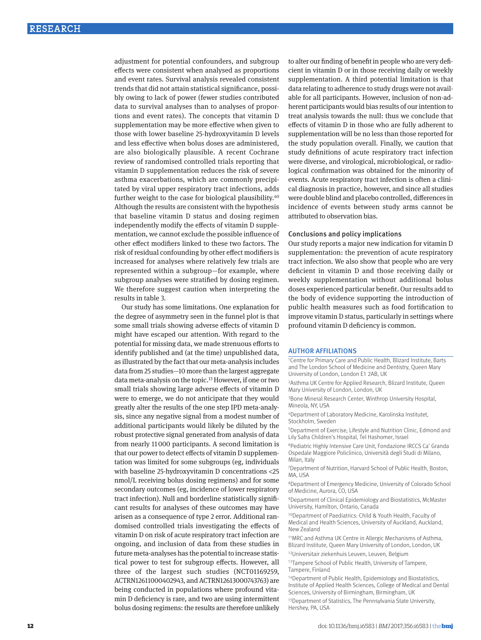adjustment for potential confounders, and subgroup effects were consistent when analysed as proportions and event rates. Survival analysis revealed consistent trends that did not attain statistical significance, possibly owing to lack of power (fewer studies contributed data to survival analyses than to analyses of proportions and event rates). The concepts that vitamin D supplementation may be more effective when given to those with lower baseline 25-hydroxyvitamin D levels and less effective when bolus doses are administered, are also biologically plausible. A recent Cochrane review of randomised controlled trials reporting that vitamin D supplementation reduces the risk of severe asthma exacerbations, which are commonly precipitated by viral upper respiratory tract infections, adds further weight to the case for biological plausibility.40 Although the results are consistent with the hypothesis that baseline vitamin D status and dosing regimen independently modify the effects of vitamin D supplementation, we cannot exclude the possible influence of other effect modifiers linked to these two factors. The risk of residual confounding by other effect modifiers is increased for analyses where relatively few trials are represented within a subgroup—for example, where subgroup analyses were stratified by dosing regimen. We therefore suggest caution when interpreting the results in table 3.

Our study has some limitations. One explanation for the degree of asymmetry seen in the funnel plot is that some small trials showing adverse effects of vitamin D might have escaped our attention. With regard to the potential for missing data, we made strenuous efforts to identify published and (at the time) unpublished data, as illustrated by the fact that our meta-analysis includes data from 25 studies—10 more than the largest aggregate data meta-analysis on the topic.13 However, if one or two small trials showing large adverse effects of vitamin D were to emerge, we do not anticipate that they would greatly alter the results of the one step IPD meta-analysis, since any negative signal from a modest number of additional participants would likely be diluted by the robust protective signal generated from analysis of data from nearly 11000 participants. A second limitation is that our power to detect effects of vitamin D supplementation was limited for some subgroups (eg, individuals with baseline 25-hydroxyvitamin D concentrations <25 nmol/L receiving bolus dosing regimens) and for some secondary outcomes (eg, incidence of lower respiratory tract infection). Null and borderline statistically significant results for analyses of these outcomes may have arisen as a consequence of type 2 error. Additional randomised controlled trials investigating the effects of vitamin D on risk of acute respiratory tract infection are ongoing, and inclusion of data from these studies in future meta-analyses has the potential to increase statistical power to test for subgroup effects. However, all three of the largest such studies (NCT01169259, ACTRN12611000402943, and ACTRN12613000743763) are being conducted in populations where profound vitamin D deficiency is rare, and two are using intermittent bolus dosing regimens: the results are therefore unlikely to alter our finding of benefit in people who are very deficient in vitamin D or in those receiving daily or weekly supplementation. A third potential limitation is that data relating to adherence to study drugs were not available for all participants. However, inclusion of non-adherent participants would bias results of our intention to treat analysis towards the null: thus we conclude that effects of vitamin D in those who are fully adherent to supplementation will be no less than those reported for the study population overall. Finally, we caution that study definitions of acute respiratory tract infection were diverse, and virological, microbiological, or radiological confirmation was obtained for the minority of events. Acute respiratory tract infection is often a clinical diagnosis in practice, however, and since all studies were double blind and placebo controlled, differences in incidence of events between study arms cannot be attributed to observation bias.

#### Conclusions and policy implications

Our study reports a major new indication for vitamin D supplementation: the prevention of acute respiratory tract infection. We also show that people who are very deficient in vitamin D and those receiving daily or weekly supplementation without additional bolus doses experienced particular benefit. Our results add to the body of evidence supporting the introduction of public health measures such as food fortification to improve vitamin D status, particularly in settings where profound vitamin D deficiency is common.

#### Author affiliations

1Centre for Primary Care and Public Health, Blizard Institute, Barts and The London School of Medicine and Dentistry, Queen Mary University of London, London E1 2AB, UK

2Asthma UK Centre for Applied Research, Blizard Institute, Queen Mary University of London, London, UK

3Bone Mineral Research Center, Winthrop University Hospital, Mineola, NY, USA

4Department of Laboratory Medicine, Karolinska Institutet, Stockholm, Sweden

5Department of Exercise, Lifestyle and Nutrition Clinic, Edmond and Lily Safra Children's Hospital, Tel Hashomer, Israel

6Pediatric Highly Intensive Care Unit, Fondazione IRCCS Ca' Granda Ospedale Maggiore Policlinico, Università degli Studi di Milano, Milan, Italy

7 Department of Nutrition, Harvard School of Public Health, Boston, MA, USA

8Department of Emergency Medicine, University of Colorado School of Medicine, Aurora, CO, USA

9Department of Clinical Epidemiology and Biostatistics, McMaster University, Hamilton, Ontario, Canada

10Department of Paediatrics: Child & Youth Health, Faculty of Medical and Health Sciences, University of Auckland, Auckland, New Zealand

11MRC and Asthma UK Centre in Allergic Mechanisms of Asthma, Blizard Institute, Queen Mary University of London, London, UK

12Universitair ziekenhuis Leuven, Leuven, Belgium

13Tampere School of Public Health, University of Tampere, Tampere, Finland

14Department of Public Health, Epidemiology and Biostatistics, Institute of Applied Health Sciences, College of Medical and Dental Sciences, University of Birmingham, Birmingham, UK

15Department of Statistics, The Pennsylvania State University, Hershey, PA, USA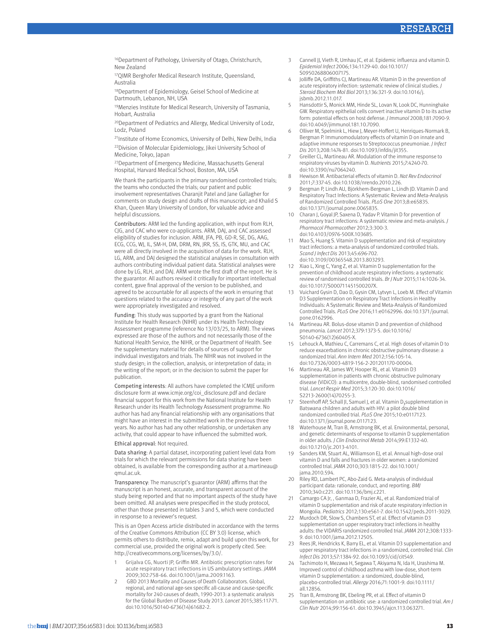16Department of Pathology, University of Otago, Christchurch, New Zealand

17QIMR Berghofer Medical Research Institute, Queensland, Australia

18Department of Epidemiology, Geisel School of Medicine at Dartmouth, Lebanon, NH, USA

19Menzies Institute for Medical Research, University of Tasmania, Hobart, Australia

20Department of Pediatrics and Allergy, Medical University of Lodz, Lodz, Poland

<sup>21</sup>Institute of Home Economics, University of Delhi, New Delhi, India 22Division of Molecular Epidemiology, Jikei University School of Medicine, Tokyo, Japan

23Department of Emergency Medicine, Massachusetts General Hospital, Harvard Medical School, Boston, MA, USA

We thank the participants in the primary randomised controlled trials; the teams who conducted the trials; our patient and public involvement representatives Charanjit Patel and Jane Gallagher for comments on study design and drafts of this manuscript; and Khalid S Khan, Queen Mary University of London, for valuable advice and helpful discussions.

Contributors: ARM led the funding application, with input from RLH, CJG, and CAC who were co-applicants. ARM, DAJ, and CAC assessed eligibility of studies for inclusion. ARM, JFA, PB, GD-R, SE, DG, AAG, ECG, CCG, WJ, IL, SM-H, DM, DRM, RN, JRR, SS, IS, GTK, MU, and CAC were all directly involved in the acquisition of data for the work. RLH, LG, ARM, and DAJ designed the statistical analyses in consultation with authors contributing individual patient data. Statistical analyses were done by LG, RLH, and DAJ. ARM wrote the first draft of the report. He is the guarantor. All authors revised it critically for important intellectual content, gave final approval of the version to be published, and agreed to be accountable for all aspects of the work in ensuring that questions related to the accuracy or integrity of any part of the work were appropriately investigated and resolved.

Funding: This study was supported by a grant from the National Institute for Health Research (NIHR) under its Health Technology Assessment programme (reference No 13/03/25, to ARM). The views expressed are those of the authors and not necessarily those of the National Health Service, the NIHR, or the Department of Health. See the supplementary material for details of sources of support for individual investigators and trials. The NIHR was not involved in the study design; in the collection, analysis, or interpretation of data; in the writing of the report; or in the decision to submit the paper for publication.

Competing interests: All authors have completed the ICMJE uniform disclosure form at www.icmje.org/coi\_disclosure.pdf and declare financial support for this work from the National Institute for Health Research under its Health Technology Assessment programme. No author has had any financial relationship with any organisations that might have an interest in the submitted work in the previous three years. No author has had any other relationship, or undertaken any activity, that could appear to have influenced the submitted work.

Ethical approval: Not required.

Data sharing: A partial dataset, incorporating patient level data from trials for which the relevant permissions for data sharing have been obtained, is available from the corresponding author at a.martineau@ qmul.ac.uk.

Transparency: The manuscript's guarantor (ARM) affirms that the manuscript is an honest, accurate, and transparent account of the study being reported and that no important aspects of the study have been omitted. All analyses were prespecified in the study protocol, other than those presented in tables 3 and 5, which were conducted in response to a reviewer's request.

This is an Open Access article distributed in accordance with the terms of the Creative Commons Attribution (CC BY 3.0) license, which permits others to distribute, remix, adapt and build upon this work, for commercial use, provided the original work is properly cited. See: http://creativecommons.org/licenses/by/3.0/.

- 1 Grijalva CG, Nuorti JP, Griffin MR. Antibiotic prescription rates for acute respiratory tract infections in US ambulatory settings. *JAMA* 2009;302:758-66. doi:10.1001/jama.2009.1163.
- 2 GBD 2013 Mortality and Causes of Death Collaborators. Global, regional, and national age-sex specific all-cause and cause-specific mortality for 240 causes of death, 1990-2013: a systematic analysis for the Global Burden of Disease Study 2013. *Lancet* 2015;385:117-71. doi:10.1016/S0140-6736(14)61682-2.
- 3 Cannell JJ, Vieth R, Umhau JC, et al. Epidemic influenza and vitamin D. *Epidemiol Infect* 2006;134:1129-40. doi:10.1017/ S0950268806007175.
- 4 Jolliffe DA, Griffiths CJ, Martineau AR. Vitamin D in the prevention of acute respiratory infection: systematic review of clinical studies. *J Steroid Biochem Mol Biol* 2013;136:321-9. doi:10.1016/j. jsbmb.2012.11.017.
- 5 Hansdottir S, Monick MM, Hinde SL, Lovan N, Look DC, Hunninghake GW. Respiratory epithelial cells convert inactive vitamin D to its active form: potential effects on host defense. *J Immunol* 2008;181:7090-9. doi:10.4049/jimmunol.181.10.7090.
- 6 Olliver M, Spelmink L, Hiew J, Meyer-Hoffert U, Henriques-Normark B, Bergman P. Immunomodulatory effects of vitamin D on innate and adaptive immune responses to Streptococcus pneumoniae. *J Infect Dis* 2013;208:1474-81. doi:10.1093/infdis/jit355.
- 7 Greiller CL, Martineau AR. Modulation of the immune response to respiratory viruses by vitamin D. *Nutrients* 2015;7:4240-70. doi:10.3390/nu7064240.
- 8 Hewison M. Antibacterial effects of vitamin D. *Nat Rev Endocrinol* 2011;7:337-45. doi:10.1038/nrendo.2010.226.
- 9 Bergman P, Lindh AU, Björkhem-Bergman L, Lindh JD. Vitamin D and Respiratory Tract Infections: A Systematic Review and Meta-Analysis of Randomized Controlled Trials. *PLoS One* 2013;8:e65835. doi:10.1371/journal.pone.0065835.
- 10 Charan J, Goyal JP, Saxena D, Yadav P. Vitamin D for prevention of respiratory tract infections: A systematic review and meta-analysis. *J Pharmacol Pharmacother* 2012;3:300-3. doi:10.4103/0976-500X.103685.
- 11 Mao S, Huang S. Vitamin D supplementation and risk of respiratory tract infections: a meta-analysis of randomized controlled trials. *Scand J Infect Dis* 2013;45:696-702. doi:10.3109/00365548.2013.803293.
- 12 Xiao L, Xing C, Yang Z, et al. Vitamin D supplementation for the prevention of childhood acute respiratory infections: a systematic review of randomised controlled trials. *Br J Nutr* 2015;114:1026-34. doi:10.1017/S000711451500207X.
- 13 Vuichard Gysin D, Dao D, Gysin CM, Lytvyn L, Loeb M. Effect of Vitamin D3 Supplementation on Respiratory Tract Infections in Healthy Individuals: A Systematic Review and Meta-Analysis of Randomized Controlled Trials. *PLoS One* 2016;11:e0162996. doi:10.1371/journal. pone.0162996.
- Martineau AR. Bolus-dose vitamin D and prevention of childhood pneumonia. *Lancet* 2012;379:1373-5. doi:10.1016/ S0140-6736(12)60405-X.
- 15 Lehouck A, Mathieu C, Carremans C, et al. High doses of vitamin D to reduce exacerbations in chronic obstructive pulmonary disease: a randomized trial. *Ann Intern Med* 2012;156:105-14. doi:10.7326/0003-4819-156-2-201201170-00004.
- 16 Martineau AR, James WY, Hooper RL, et al. Vitamin D3 supplementation in patients with chronic obstructive pulmonary disease (ViDiCO): a multicentre, double-blind, randomised controlled trial. *Lancet Respir Med* 2015;3:120-30. doi:10.1016/ S2213-2600(14)70255-3.
- 17 Steenhoff AP, Schall JI, Samuel J, et al. Vitamin D<sub>3</sub>supplementation in Batswana children and adults with HIV: a pilot double blind randomized controlled trial. *PLoS One* 2015;10:e0117123. doi:10.1371/journal.pone.0117123.
- 18 Waterhouse M, Tran B, Armstrong BK, et al. Environmental, personal, and genetic determinants of response to vitamin D supplementation in older adults. *J Clin Endocrinol Metab* 2014;99:E1332-40. doi:10.1210/jc.2013-4101.
- 19 Sanders KM, Stuart AL, Williamson EJ, et al. Annual high-dose oral vitamin D and falls and fractures in older women: a randomized controlled trial. *JAMA* 2010;303:1815-22. doi:10.1001/ jama.2010.594.
- 20 Riley RD, Lambert PC, Abo-Zaid G. Meta-analysis of individual participant data: rationale, conduct, and reporting. *BMJ* 2010;340:c221. doi:10.1136/bmj.c221.
- Camargo CA Jr, , Ganmaa D, Frazier AL, et al. Randomized trial of vitamin D supplementation and risk of acute respiratory infection in Mongolia. *Pediatrics* 2012;130:e561-7. doi:10.1542/peds.2011-3029.
- 22 Murdoch DR, Slow S, Chambers ST, et al. Effect of vitamin D3 supplementation on upper respiratory tract infections in healthy adults: the VIDARIS randomized controlled trial. *JAMA* 2012;308:1333- 9. doi:10.1001/jama.2012.12505.
- 23 Rees JR, Hendricks K, Barry EL, et al. Vitamin D3 supplementation and upper respiratory tract infections in a randomized, controlled trial. *Clin Infect Dis* 2013;57:1384-92. doi:10.1093/cid/cit549.
- Tachimoto H, Mezawa H, Segawa T, Akiyama N, Ida H, Urashima M. Improved control of childhood asthma with low-dose, short-term vitamin D supplementation: a randomized, double-blind, placebo-controlled trial. *Allergy* 2016;71:1001-9. doi:10.1111/ all.12856.
- Tran B, Armstrong BK, Ebeling PR, et al. Effect of vitamin D supplementation on antibiotic use: a randomized controlled trial. *Am J Clin Nutr* 2014;99:156-61. doi:10.3945/ajcn.113.063271.